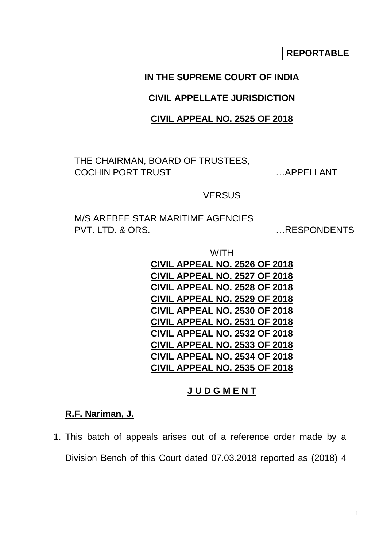**REPORTABLE**

# **IN THE SUPREME COURT OF INDIA**

### **CIVIL APPELLATE JURISDICTION**

### **CIVIL APPEAL NO. 2525 OF 2018**

THE CHAIRMAN, BOARD OF TRUSTEES, COCHIN PORT TRUST …APPELLANT

#### **VERSUS**

M/S AREBEE STAR MARITIME AGENCIES PVT. LTD. & ORS. WE ARE SPONDENTS

| WITH                                 |
|--------------------------------------|
| <b>CIVIL APPEAL NO. 2526 OF 2018</b> |
| <b>CIVIL APPEAL NO. 2527 OF 2018</b> |
| <b>CIVIL APPEAL NO. 2528 OF 2018</b> |
| <b>CIVIL APPEAL NO. 2529 OF 2018</b> |
| <b>CIVIL APPEAL NO. 2530 OF 2018</b> |
| <b>CIVIL APPEAL NO. 2531 OF 2018</b> |
| <b>CIVIL APPEAL NO. 2532 OF 2018</b> |
| <b>CIVIL APPEAL NO. 2533 OF 2018</b> |
| <b>CIVIL APPEAL NO. 2534 OF 2018</b> |
| <b>CIVIL APPEAL NO. 2535 OF 2018</b> |

### **J U D G M E N T**

## **R.F. Nariman, J.**

1. This batch of appeals arises out of a reference order made by a Division Bench of this Court dated 07.03.2018 reported as (2018) 4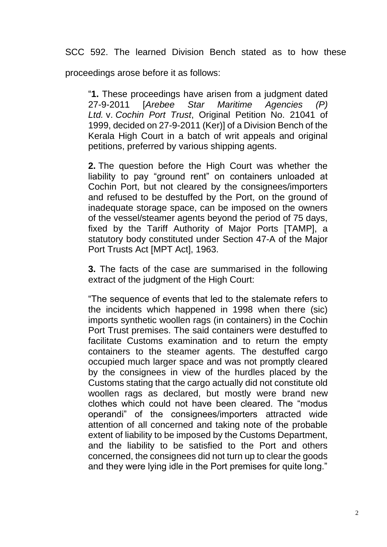SCC 592. The learned Division Bench stated as to how these

proceedings arose before it as follows:

"**1.** These proceedings have arisen from a judgment dated 27-9-2011 [*Arebee Star Maritime Agencies (P) Ltd.* v. *Cochin Port Trust*, Original Petition No. 21041 of 1999, decided on 27-9-2011 (Ker)] of a Division Bench of the Kerala High Court in a batch of writ appeals and original petitions, preferred by various shipping agents.

**2.** The question before the High Court was whether the liability to pay "ground rent" on containers unloaded at Cochin Port, but not cleared by the consignees/importers and refused to be destuffed by the Port, on the ground of inadequate storage space, can be imposed on the owners of the vessel/steamer agents beyond the period of 75 days, fixed by the Tariff Authority of Major Ports [TAMP], a statutory body constituted under Section 47-A of the Major Port Trusts Act [MPT Act], 1963.

**3.** The facts of the case are summarised in the following extract of the judgment of the High Court:

"The sequence of events that led to the stalemate refers to the incidents which happened in 1998 when there (sic) imports synthetic woollen rags (in containers) in the Cochin Port Trust premises. The said containers were destuffed to facilitate Customs examination and to return the empty containers to the steamer agents. The destuffed cargo occupied much larger space and was not promptly cleared by the consignees in view of the hurdles placed by the Customs stating that the cargo actually did not constitute old woollen rags as declared, but mostly were brand new clothes which could not have been cleared. The "modus operandi" of the consignees/importers attracted wide attention of all concerned and taking note of the probable extent of liability to be imposed by the Customs Department, and the liability to be satisfied to the Port and others concerned, the consignees did not turn up to clear the goods and they were lying idle in the Port premises for quite long."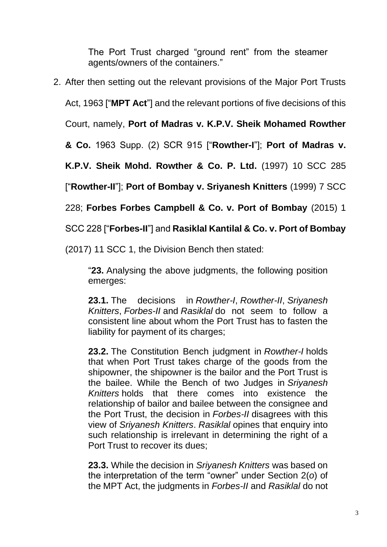The Port Trust charged "ground rent" from the steamer agents/owners of the containers."

2. After then setting out the relevant provisions of the Major Port Trusts

Act, 1963 ["**MPT Act**"] and the relevant portions of five decisions of this

Court, namely, **Port of Madras v. K.P.V. Sheik Mohamed Rowther** 

**& Co.** 1963 Supp. (2) SCR 915 ["**Rowther-I**"]; **Port of Madras v.** 

**K.P.V. Sheik Mohd. Rowther & Co. P. Ltd.** (1997) 10 SCC 285

["**Rowther-II**"]; **Port of Bombay v. Sriyanesh Knitters** (1999) 7 SCC

228; **Forbes Forbes Campbell & Co. v. Port of Bombay** (2015) 1

SCC 228 ["**Forbes-II**"] and **Rasiklal Kantilal & Co. v. Port of Bombay** 

(2017) 11 SCC 1, the Division Bench then stated:

"**23.** Analysing the above judgments, the following position emerges:

**23.1.** The decisions in *Rowther-I*, *Rowther-II*, *Sriyanesh Knitters*, *Forbes-II* and *Rasiklal* do not seem to follow a consistent line about whom the Port Trust has to fasten the liability for payment of its charges;

**23.2.** The Constitution Bench judgment in *Rowther-I* holds that when Port Trust takes charge of the goods from the shipowner, the shipowner is the bailor and the Port Trust is the bailee. While the Bench of two Judges in *Sriyanesh Knitters* holds that there comes into existence the relationship of bailor and bailee between the consignee and the Port Trust, the decision in *Forbes-II* disagrees with this view of *Sriyanesh Knitters*. *Rasiklal* opines that enquiry into such relationship is irrelevant in determining the right of a Port Trust to recover its dues;

**23.3.** While the decision in *Sriyanesh Knitters* was based on the interpretation of the term "owner" under Section 2(*o*) of the MPT Act, the judgments in *Forbes-II* and *Rasiklal* do not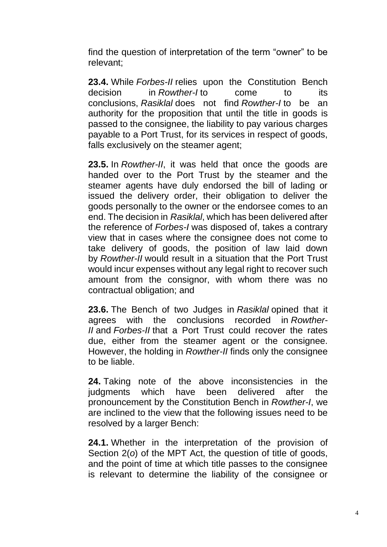find the question of interpretation of the term "owner" to be relevant;

**23.4.** While *Forbes-II* relies upon the Constitution Bench decision in *Rowther-I* to come to its conclusions, *Rasiklal* does not find *Rowther-I* to be an authority for the proposition that until the title in goods is passed to the consignee, the liability to pay various charges payable to a Port Trust, for its services in respect of goods, falls exclusively on the steamer agent;

**23.5.** In *Rowther-II*, it was held that once the goods are handed over to the Port Trust by the steamer and the steamer agents have duly endorsed the bill of lading or issued the delivery order, their obligation to deliver the goods personally to the owner or the endorsee comes to an end. The decision in *Rasiklal*, which has been delivered after the reference of *Forbes-I* was disposed of, takes a contrary view that in cases where the consignee does not come to take delivery of goods, the position of law laid down by *Rowther-II* would result in a situation that the Port Trust would incur expenses without any legal right to recover such amount from the consignor, with whom there was no contractual obligation; and

**23.6.** The Bench of two Judges in *Rasiklal* opined that it agrees with the conclusions recorded in *Rowther-II* and *Forbes-II* that a Port Trust could recover the rates due, either from the steamer agent or the consignee. However, the holding in *Rowther-II* finds only the consignee to be liable.

**24.** Taking note of the above inconsistencies in the judgments which have been delivered after the pronouncement by the Constitution Bench in *Rowther-I*, we are inclined to the view that the following issues need to be resolved by a larger Bench:

**24.1.** Whether in the interpretation of the provision of Section 2(*o*) of the MPT Act, the question of title of goods, and the point of time at which title passes to the consignee is relevant to determine the liability of the consignee or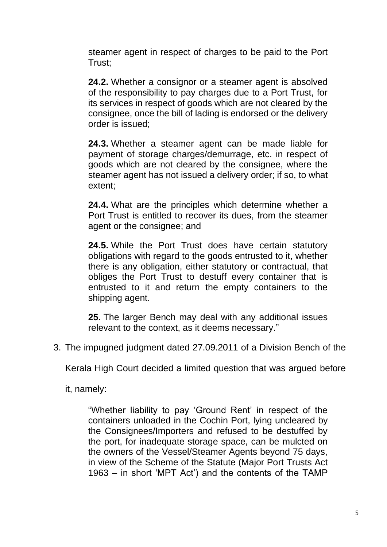steamer agent in respect of charges to be paid to the Port Trust;

**24.2.** Whether a consignor or a steamer agent is absolved of the responsibility to pay charges due to a Port Trust, for its services in respect of goods which are not cleared by the consignee, once the bill of lading is endorsed or the delivery order is issued;

**24.3.** Whether a steamer agent can be made liable for payment of storage charges/demurrage, etc. in respect of goods which are not cleared by the consignee, where the steamer agent has not issued a delivery order; if so, to what extent;

**24.4.** What are the principles which determine whether a Port Trust is entitled to recover its dues, from the steamer agent or the consignee; and

**24.5.** While the Port Trust does have certain statutory obligations with regard to the goods entrusted to it, whether there is any obligation, either statutory or contractual, that obliges the Port Trust to destuff every container that is entrusted to it and return the empty containers to the shipping agent.

**25.** The larger Bench may deal with any additional issues relevant to the context, as it deems necessary."

3. The impugned judgment dated 27.09.2011 of a Division Bench of the

Kerala High Court decided a limited question that was argued before

it, namely:

"Whether liability to pay 'Ground Rent' in respect of the containers unloaded in the Cochin Port, lying uncleared by the Consignees/Importers and refused to be destuffed by the port, for inadequate storage space, can be mulcted on the owners of the Vessel/Steamer Agents beyond 75 days, in view of the Scheme of the Statute (Major Port Trusts Act 1963 – in short 'MPT Act') and the contents of the TAMP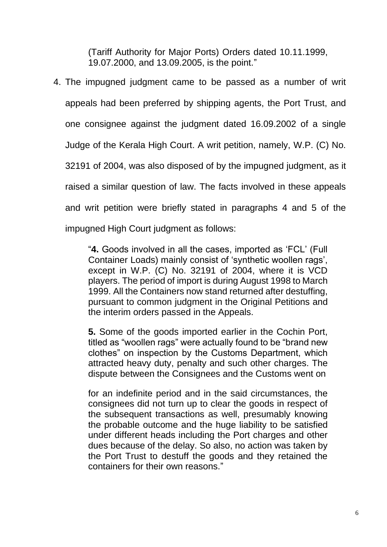(Tariff Authority for Major Ports) Orders dated 10.11.1999, 19.07.2000, and 13.09.2005, is the point."

4. The impugned judgment came to be passed as a number of writ appeals had been preferred by shipping agents, the Port Trust, and one consignee against the judgment dated 16.09.2002 of a single Judge of the Kerala High Court. A writ petition, namely, W.P. (C) No. 32191 of 2004, was also disposed of by the impugned judgment, as it raised a similar question of law. The facts involved in these appeals and writ petition were briefly stated in paragraphs 4 and 5 of the impugned High Court judgment as follows:

> "**4.** Goods involved in all the cases, imported as 'FCL' (Full Container Loads) mainly consist of 'synthetic woollen rags', except in W.P. (C) No. 32191 of 2004, where it is VCD players. The period of import is during August 1998 to March 1999. All the Containers now stand returned after destuffing, pursuant to common judgment in the Original Petitions and the interim orders passed in the Appeals.

> **5.** Some of the goods imported earlier in the Cochin Port, titled as "woollen rags" were actually found to be "brand new clothes" on inspection by the Customs Department, which attracted heavy duty, penalty and such other charges. The dispute between the Consignees and the Customs went on

> for an indefinite period and in the said circumstances, the consignees did not turn up to clear the goods in respect of the subsequent transactions as well, presumably knowing the probable outcome and the huge liability to be satisfied under different heads including the Port charges and other dues because of the delay. So also, no action was taken by the Port Trust to destuff the goods and they retained the containers for their own reasons."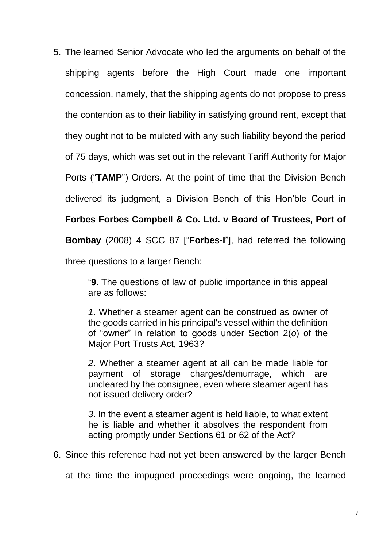5. The learned Senior Advocate who led the arguments on behalf of the shipping agents before the High Court made one important concession, namely, that the shipping agents do not propose to press the contention as to their liability in satisfying ground rent, except that they ought not to be mulcted with any such liability beyond the period of 75 days, which was set out in the relevant Tariff Authority for Major Ports ("**TAMP**") Orders. At the point of time that the Division Bench delivered its judgment, a Division Bench of this Hon'ble Court in **Forbes Forbes Campbell & Co. Ltd. v Board of Trustees, Port of Bombay** (2008) 4 SCC 87 ["**Forbes-I**"], had referred the following three questions to a larger Bench:

> "**9.** The questions of law of public importance in this appeal are as follows:

> *1*. Whether a steamer agent can be construed as owner of the goods carried in his principal's vessel within the definition of "owner" in relation to goods under Section 2(*o*) of the Major Port Trusts Act, 1963?

> *2*. Whether a steamer agent at all can be made liable for payment of storage charges/demurrage, which are uncleared by the consignee, even where steamer agent has not issued delivery order?

> *3*. In the event a steamer agent is held liable, to what extent he is liable and whether it absolves the respondent from acting promptly under Sections 61 or 62 of the Act?

6. Since this reference had not yet been answered by the larger Bench

at the time the impugned proceedings were ongoing, the learned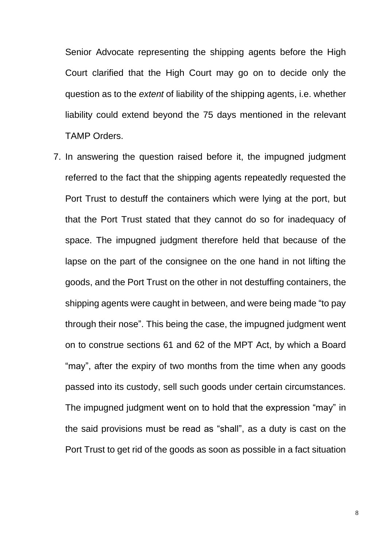Senior Advocate representing the shipping agents before the High Court clarified that the High Court may go on to decide only the question as to the *extent* of liability of the shipping agents, i.e. whether liability could extend beyond the 75 days mentioned in the relevant TAMP Orders.

7. In answering the question raised before it, the impugned judgment referred to the fact that the shipping agents repeatedly requested the Port Trust to destuff the containers which were lying at the port, but that the Port Trust stated that they cannot do so for inadequacy of space. The impugned judgment therefore held that because of the lapse on the part of the consignee on the one hand in not lifting the goods, and the Port Trust on the other in not destuffing containers, the shipping agents were caught in between, and were being made "to pay through their nose". This being the case, the impugned judgment went on to construe sections 61 and 62 of the MPT Act, by which a Board "may", after the expiry of two months from the time when any goods passed into its custody, sell such goods under certain circumstances. The impugned judgment went on to hold that the expression "may" in the said provisions must be read as "shall", as a duty is cast on the Port Trust to get rid of the goods as soon as possible in a fact situation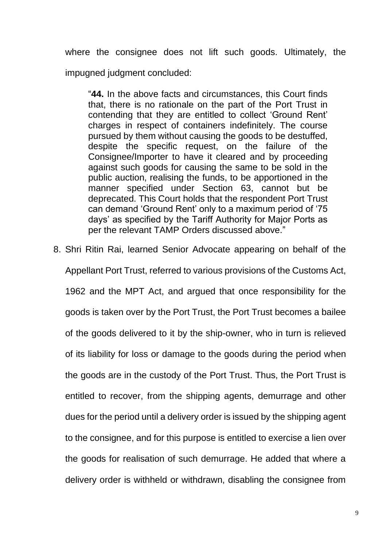where the consignee does not lift such goods. Ultimately, the impugned judgment concluded:

"**44.** In the above facts and circumstances, this Court finds that, there is no rationale on the part of the Port Trust in contending that they are entitled to collect 'Ground Rent' charges in respect of containers indefinitely. The course pursued by them without causing the goods to be destuffed, despite the specific request, on the failure of the Consignee/Importer to have it cleared and by proceeding against such goods for causing the same to be sold in the public auction, realising the funds, to be apportioned in the manner specified under Section 63, cannot but be deprecated. This Court holds that the respondent Port Trust can demand 'Ground Rent' only to a maximum period of '75 days' as specified by the Tariff Authority for Major Ports as per the relevant TAMP Orders discussed above."

8. Shri Ritin Rai, learned Senior Advocate appearing on behalf of the Appellant Port Trust, referred to various provisions of the Customs Act, 1962 and the MPT Act, and argued that once responsibility for the goods is taken over by the Port Trust, the Port Trust becomes a bailee of the goods delivered to it by the ship-owner, who in turn is relieved of its liability for loss or damage to the goods during the period when the goods are in the custody of the Port Trust. Thus, the Port Trust is entitled to recover, from the shipping agents, demurrage and other dues for the period until a delivery order is issued by the shipping agent to the consignee, and for this purpose is entitled to exercise a lien over the goods for realisation of such demurrage. He added that where a delivery order is withheld or withdrawn, disabling the consignee from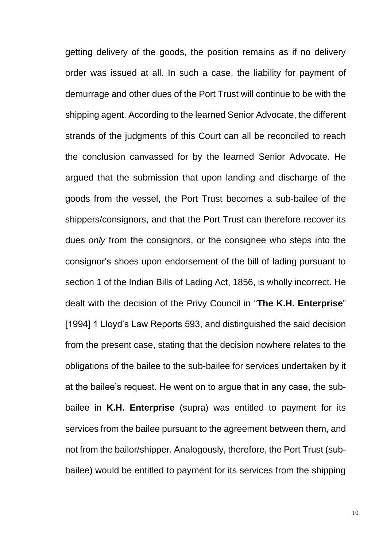getting delivery of the goods, the position remains as if no delivery order was issued at all. In such a case, the liability for payment of demurrage and other dues of the Port Trust will continue to be with the shipping agent. According to the learned Senior Advocate, the different strands of the judgments of this Court can all be reconciled to reach the conclusion canvassed for by the learned Senior Advocate. He argued that the submission that upon landing and discharge of the goods from the vessel, the Port Trust becomes a sub-bailee of the shippers/consignors, and that the Port Trust can therefore recover its dues *only* from the consignors, or the consignee who steps into the consignor's shoes upon endorsement of the bill of lading pursuant to section 1 of the Indian Bills of Lading Act, 1856, is wholly incorrect. He dealt with the decision of the Privy Council in "**The K.H. Enterprise**" [1994] 1 Lloyd's Law Reports 593, and distinguished the said decision from the present case, stating that the decision nowhere relates to the obligations of the bailee to the sub-bailee for services undertaken by it at the bailee's request. He went on to argue that in any case, the subbailee in **K.H. Enterprise** (supra) was entitled to payment for its services from the bailee pursuant to the agreement between them, and not from the bailor/shipper. Analogously, therefore, the Port Trust (subbailee) would be entitled to payment for its services from the shipping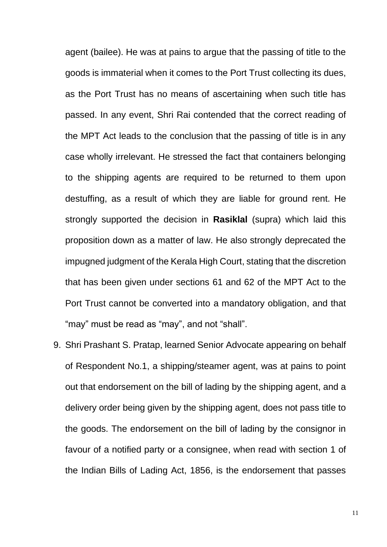agent (bailee). He was at pains to argue that the passing of title to the goods is immaterial when it comes to the Port Trust collecting its dues, as the Port Trust has no means of ascertaining when such title has passed. In any event, Shri Rai contended that the correct reading of the MPT Act leads to the conclusion that the passing of title is in any case wholly irrelevant. He stressed the fact that containers belonging to the shipping agents are required to be returned to them upon destuffing, as a result of which they are liable for ground rent. He strongly supported the decision in **Rasiklal** (supra) which laid this proposition down as a matter of law. He also strongly deprecated the impugned judgment of the Kerala High Court, stating that the discretion that has been given under sections 61 and 62 of the MPT Act to the Port Trust cannot be converted into a mandatory obligation, and that "may" must be read as "may", and not "shall".

9. Shri Prashant S. Pratap, learned Senior Advocate appearing on behalf of Respondent No.1, a shipping/steamer agent, was at pains to point out that endorsement on the bill of lading by the shipping agent, and a delivery order being given by the shipping agent, does not pass title to the goods. The endorsement on the bill of lading by the consignor in favour of a notified party or a consignee, when read with section 1 of the Indian Bills of Lading Act, 1856, is the endorsement that passes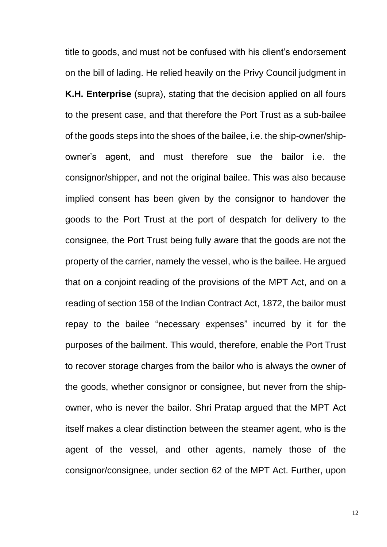title to goods, and must not be confused with his client's endorsement on the bill of lading. He relied heavily on the Privy Council judgment in **K.H. Enterprise** (supra), stating that the decision applied on all fours to the present case, and that therefore the Port Trust as a sub-bailee of the goods steps into the shoes of the bailee, i.e. the ship-owner/shipowner's agent, and must therefore sue the bailor i.e. the consignor/shipper, and not the original bailee. This was also because implied consent has been given by the consignor to handover the goods to the Port Trust at the port of despatch for delivery to the consignee, the Port Trust being fully aware that the goods are not the property of the carrier, namely the vessel, who is the bailee. He argued that on a conjoint reading of the provisions of the MPT Act, and on a reading of section 158 of the Indian Contract Act, 1872, the bailor must repay to the bailee "necessary expenses" incurred by it for the purposes of the bailment. This would, therefore, enable the Port Trust to recover storage charges from the bailor who is always the owner of the goods, whether consignor or consignee, but never from the shipowner, who is never the bailor. Shri Pratap argued that the MPT Act itself makes a clear distinction between the steamer agent, who is the agent of the vessel, and other agents, namely those of the consignor/consignee, under section 62 of the MPT Act. Further, upon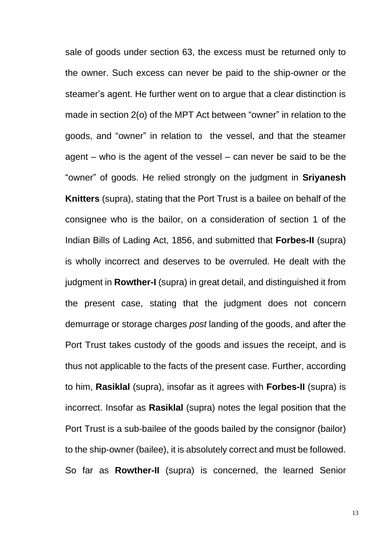sale of goods under section 63, the excess must be returned only to the owner. Such excess can never be paid to the ship-owner or the steamer's agent. He further went on to argue that a clear distinction is made in section 2(o) of the MPT Act between "owner" in relation to the goods, and "owner" in relation to the vessel, and that the steamer agent – who is the agent of the vessel – can never be said to be the "owner" of goods. He relied strongly on the judgment in **Sriyanesh Knitters** (supra), stating that the Port Trust is a bailee on behalf of the consignee who is the bailor, on a consideration of section 1 of the Indian Bills of Lading Act, 1856, and submitted that **Forbes-II** (supra) is wholly incorrect and deserves to be overruled. He dealt with the judgment in **Rowther-I** (supra) in great detail, and distinguished it from the present case, stating that the judgment does not concern demurrage or storage charges *post* landing of the goods, and after the Port Trust takes custody of the goods and issues the receipt, and is thus not applicable to the facts of the present case. Further, according to him, **Rasiklal** (supra), insofar as it agrees with **Forbes-II** (supra) is incorrect. Insofar as **Rasiklal** (supra) notes the legal position that the Port Trust is a sub-bailee of the goods bailed by the consignor (bailor) to the ship-owner (bailee), it is absolutely correct and must be followed. So far as **Rowther-II** (supra) is concerned, the learned Senior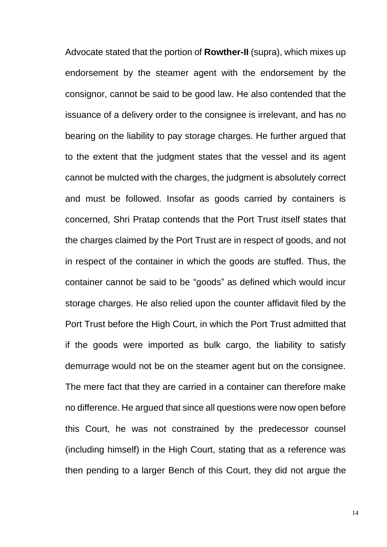Advocate stated that the portion of **Rowther-II** (supra), which mixes up endorsement by the steamer agent with the endorsement by the consignor, cannot be said to be good law. He also contended that the issuance of a delivery order to the consignee is irrelevant, and has no bearing on the liability to pay storage charges. He further argued that to the extent that the judgment states that the vessel and its agent cannot be mulcted with the charges, the judgment is absolutely correct and must be followed. Insofar as goods carried by containers is concerned, Shri Pratap contends that the Port Trust itself states that the charges claimed by the Port Trust are in respect of goods, and not in respect of the container in which the goods are stuffed. Thus, the container cannot be said to be "goods" as defined which would incur storage charges. He also relied upon the counter affidavit filed by the Port Trust before the High Court, in which the Port Trust admitted that if the goods were imported as bulk cargo, the liability to satisfy demurrage would not be on the steamer agent but on the consignee. The mere fact that they are carried in a container can therefore make no difference. He argued that since all questions were now open before this Court, he was not constrained by the predecessor counsel (including himself) in the High Court, stating that as a reference was then pending to a larger Bench of this Court, they did not argue the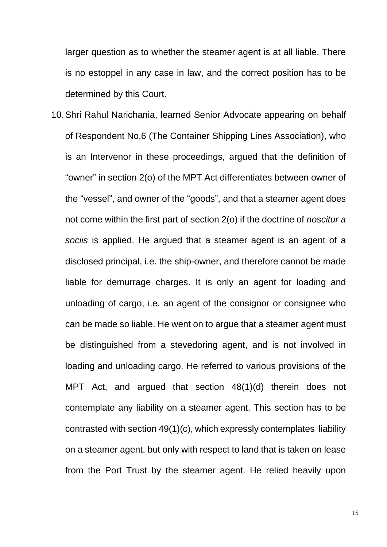larger question as to whether the steamer agent is at all liable. There is no estoppel in any case in law, and the correct position has to be determined by this Court.

10.Shri Rahul Narichania, learned Senior Advocate appearing on behalf of Respondent No.6 (The Container Shipping Lines Association), who is an Intervenor in these proceedings, argued that the definition of "owner" in section 2(o) of the MPT Act differentiates between owner of the "vessel", and owner of the "goods", and that a steamer agent does not come within the first part of section 2(o) if the doctrine of *noscitur a sociis* is applied. He argued that a steamer agent is an agent of a disclosed principal, i.e. the ship-owner, and therefore cannot be made liable for demurrage charges. It is only an agent for loading and unloading of cargo, i.e. an agent of the consignor or consignee who can be made so liable. He went on to argue that a steamer agent must be distinguished from a stevedoring agent, and is not involved in loading and unloading cargo. He referred to various provisions of the MPT Act, and argued that section 48(1)(d) therein does not contemplate any liability on a steamer agent. This section has to be contrasted with section 49(1)(c), which expressly contemplates liability on a steamer agent, but only with respect to land that is taken on lease from the Port Trust by the steamer agent. He relied heavily upon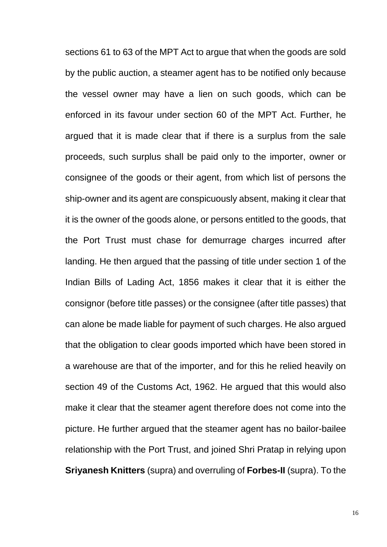sections 61 to 63 of the MPT Act to argue that when the goods are sold by the public auction, a steamer agent has to be notified only because the vessel owner may have a lien on such goods, which can be enforced in its favour under section 60 of the MPT Act. Further, he argued that it is made clear that if there is a surplus from the sale proceeds, such surplus shall be paid only to the importer, owner or consignee of the goods or their agent, from which list of persons the ship-owner and its agent are conspicuously absent, making it clear that it is the owner of the goods alone, or persons entitled to the goods, that the Port Trust must chase for demurrage charges incurred after landing. He then argued that the passing of title under section 1 of the Indian Bills of Lading Act, 1856 makes it clear that it is either the consignor (before title passes) or the consignee (after title passes) that can alone be made liable for payment of such charges. He also argued that the obligation to clear goods imported which have been stored in a warehouse are that of the importer, and for this he relied heavily on section 49 of the Customs Act, 1962. He argued that this would also make it clear that the steamer agent therefore does not come into the picture. He further argued that the steamer agent has no bailor-bailee relationship with the Port Trust, and joined Shri Pratap in relying upon **Sriyanesh Knitters** (supra) and overruling of **Forbes-II** (supra). To the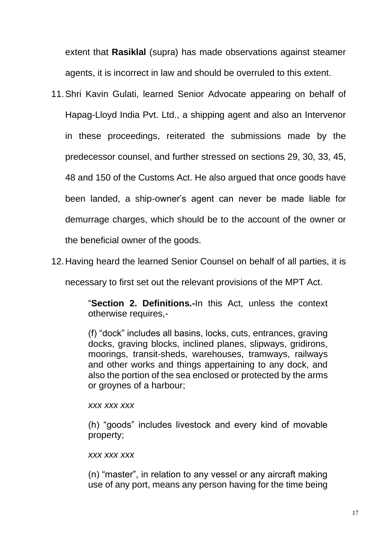extent that **Rasiklal** (supra) has made observations against steamer agents, it is incorrect in law and should be overruled to this extent.

- 11.Shri Kavin Gulati, learned Senior Advocate appearing on behalf of Hapag-Lloyd India Pvt. Ltd., a shipping agent and also an Intervenor in these proceedings, reiterated the submissions made by the predecessor counsel, and further stressed on sections 29, 30, 33, 45, 48 and 150 of the Customs Act. He also argued that once goods have been landed, a ship-owner's agent can never be made liable for demurrage charges, which should be to the account of the owner or the beneficial owner of the goods.
- 12.Having heard the learned Senior Counsel on behalf of all parties, it is

necessary to first set out the relevant provisions of the MPT Act.

"**Section 2. Definitions.-**In this Act, unless the context otherwise requires,-

(f) "dock" includes all basins, locks, cuts, entrances, graving docks, graving blocks, inclined planes, slipways, gridirons, moorings, transit-sheds, warehouses, tramways, railways and other works and things appertaining to any dock, and also the portion of the sea enclosed or protected by the arms or groynes of a harbour;

#### *xxx xxx xxx*

(h) "goods" includes livestock and every kind of movable property;

#### *xxx xxx xxx*

(n) "master", in relation to any vessel or any aircraft making use of any port, means any person having for the time being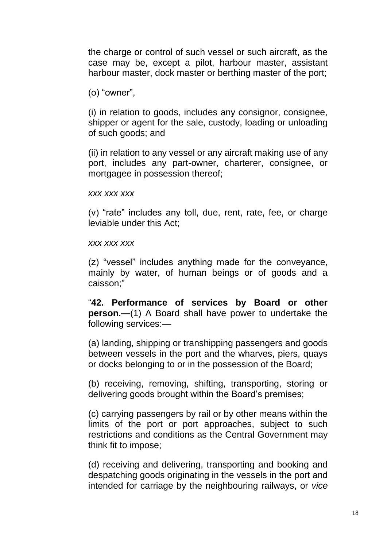the charge or control of such vessel or such aircraft, as the case may be, except a pilot, harbour master, assistant harbour master, dock master or berthing master of the port;

(o) "owner",

(i) in relation to goods, includes any consignor, consignee, shipper or agent for the sale, custody, loading or unloading of such goods; and

(ii) in relation to any vessel or any aircraft making use of any port, includes any part-owner, charterer, consignee, or mortgagee in possession thereof;

*xxx xxx xxx*

(v) "rate" includes any toll, due, rent, rate, fee, or charge leviable under this Act;

*xxx xxx xxx*

(z) "vessel" includes anything made for the conveyance, mainly by water, of human beings or of goods and a caisson;"

"**42. Performance of services by Board or other person.—**(1) A Board shall have power to undertake the following services:—

(a) landing, shipping or transhipping passengers and goods between vessels in the port and the wharves, piers, quays or docks belonging to or in the possession of the Board;

(b) receiving, removing, shifting, transporting, storing or delivering goods brought within the Board's premises;

(c) carrying passengers by rail or by other means within the limits of the port or port approaches, subject to such restrictions and conditions as the Central Government may think fit to impose;

(d) receiving and delivering, transporting and booking and despatching goods originating in the vessels in the port and intended for carriage by the neighbouring railways, or *vice*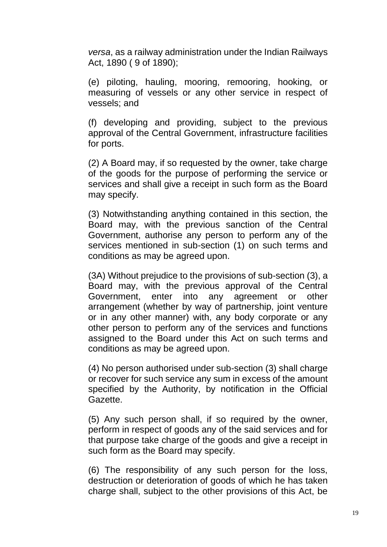*versa*, as a railway administration under the Indian Railways Act, 1890 ( 9 of 1890);

(e) piloting, hauling, mooring, remooring, hooking, or measuring of vessels or any other service in respect of vessels; and

(f) developing and providing, subject to the previous approval of the Central Government, infrastructure facilities for ports.

(2) A Board may, if so requested by the owner, take charge of the goods for the purpose of performing the service or services and shall give a receipt in such form as the Board may specify.

(3) Notwithstanding anything contained in this section, the Board may, with the previous sanction of the Central Government, authorise any person to perform any of the services mentioned in sub-section (1) on such terms and conditions as may be agreed upon.

(3A) Without prejudice to the provisions of sub-section (3), a Board may, with the previous approval of the Central Government, enter into any agreement or other arrangement (whether by way of partnership, joint venture or in any other manner) with, any body corporate or any other person to perform any of the services and functions assigned to the Board under this Act on such terms and conditions as may be agreed upon.

(4) No person authorised under sub-section (3) shall charge or recover for such service any sum in excess of the amount specified by the Authority, by notification in the Official Gazette.

(5) Any such person shall, if so required by the owner, perform in respect of goods any of the said services and for that purpose take charge of the goods and give a receipt in such form as the Board may specify.

(6) The responsibility of any such person for the loss, destruction or deterioration of goods of which he has taken charge shall, subject to the other provisions of this Act, be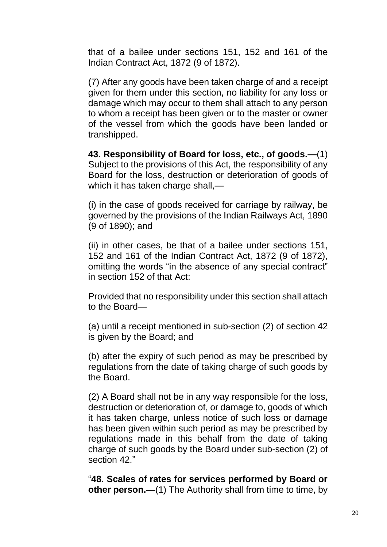that of a bailee under sections 151, 152 and 161 of the Indian Contract Act, 1872 (9 of 1872).

(7) After any goods have been taken charge of and a receipt given for them under this section, no liability for any loss or damage which may occur to them shall attach to any person to whom a receipt has been given or to the master or owner of the vessel from which the goods have been landed or transhipped.

**43. Responsibility of Board for loss, etc., of goods.—**(1) Subject to the provisions of this Act, the responsibility of any Board for the loss, destruction or deterioration of goods of which it has taken charge shall,—

(i) in the case of goods received for carriage by railway, be governed by the provisions of the Indian Railways Act, 1890 (9 of 1890); and

(ii) in other cases, be that of a bailee under sections 151, 152 and 161 of the Indian Contract Act, 1872 (9 of 1872), omitting the words "in the absence of any special contract" in section 152 of that Act:

Provided that no responsibility under this section shall attach to the Board—

(a) until a receipt mentioned in sub-section (2) of section 42 is given by the Board; and

(b) after the expiry of such period as may be prescribed by regulations from the date of taking charge of such goods by the Board.

(2) A Board shall not be in any way responsible for the loss, destruction or deterioration of, or damage to, goods of which it has taken charge, unless notice of such loss or damage has been given within such period as may be prescribed by regulations made in this behalf from the date of taking charge of such goods by the Board under sub-section (2) of section 42."

"**48. Scales of rates for services performed by Board or other person.—(1)** The Authority shall from time to time, by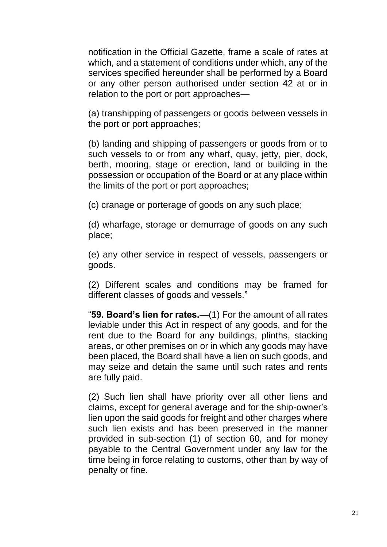notification in the Official Gazette, frame a scale of rates at which, and a statement of conditions under which, any of the services specified hereunder shall be performed by a Board or any other person authorised under section 42 at or in relation to the port or port approaches—

(a) transhipping of passengers or goods between vessels in the port or port approaches;

(b) landing and shipping of passengers or goods from or to such vessels to or from any wharf, quay, jetty, pier, dock, berth, mooring, stage or erection, land or building in the possession or occupation of the Board or at any place within the limits of the port or port approaches;

(c) cranage or porterage of goods on any such place;

(d) wharfage, storage or demurrage of goods on any such place;

(e) any other service in respect of vessels, passengers or goods.

(2) Different scales and conditions may be framed for different classes of goods and vessels."

"**59. Board's lien for rates.—**(1) For the amount of all rates leviable under this Act in respect of any goods, and for the rent due to the Board for any buildings, plinths, stacking areas, or other premises on or in which any goods may have been placed, the Board shall have a lien on such goods, and may seize and detain the same until such rates and rents are fully paid.

(2) Such lien shall have priority over all other liens and claims, except for general average and for the ship-owner's lien upon the said goods for freight and other charges where such lien exists and has been preserved in the manner provided in sub-section (1) of section 60, and for money payable to the Central Government under any law for the time being in force relating to customs, other than by way of penalty or fine.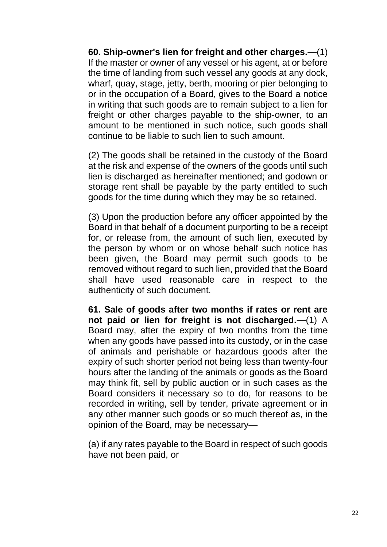**60. Ship-owner's lien for freight and other charges.—**(1) If the master or owner of any vessel or his agent, at or before the time of landing from such vessel any goods at any dock, wharf, quay, stage, jetty, berth, mooring or pier belonging to or in the occupation of a Board, gives to the Board a notice in writing that such goods are to remain subject to a lien for freight or other charges payable to the ship-owner, to an amount to be mentioned in such notice, such goods shall continue to be liable to such lien to such amount.

(2) The goods shall be retained in the custody of the Board at the risk and expense of the owners of the goods until such lien is discharged as hereinafter mentioned; and godown or storage rent shall be payable by the party entitled to such goods for the time during which they may be so retained.

(3) Upon the production before any officer appointed by the Board in that behalf of a document purporting to be a receipt for, or release from, the amount of such lien, executed by the person by whom or on whose behalf such notice has been given, the Board may permit such goods to be removed without regard to such lien, provided that the Board shall have used reasonable care in respect to the authenticity of such document.

**61. Sale of goods after two months if rates or rent are not paid or lien for freight is not discharged.—**(1) A Board may, after the expiry of two months from the time when any goods have passed into its custody, or in the case of animals and perishable or hazardous goods after the expiry of such shorter period not being less than twenty-four hours after the landing of the animals or goods as the Board may think fit, sell by public auction or in such cases as the Board considers it necessary so to do, for reasons to be recorded in writing, sell by tender, private agreement or in any other manner such goods or so much thereof as, in the opinion of the Board, may be necessary—

(a) if any rates payable to the Board in respect of such goods have not been paid, or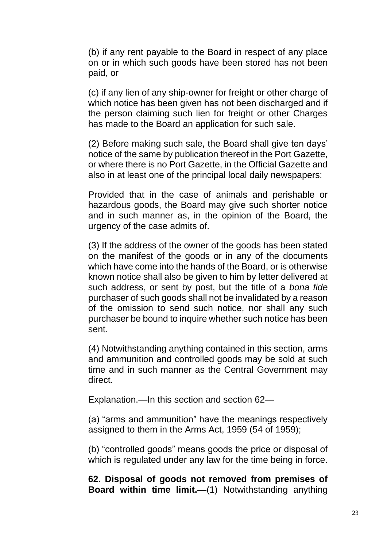(b) if any rent payable to the Board in respect of any place on or in which such goods have been stored has not been paid, or

(c) if any lien of any ship-owner for freight or other charge of which notice has been given has not been discharged and if the person claiming such lien for freight or other Charges has made to the Board an application for such sale.

(2) Before making such sale, the Board shall give ten days' notice of the same by publication thereof in the Port Gazette, or where there is no Port Gazette, in the Official Gazette and also in at least one of the principal local daily newspapers:

Provided that in the case of animals and perishable or hazardous goods, the Board may give such shorter notice and in such manner as, in the opinion of the Board, the urgency of the case admits of.

(3) If the address of the owner of the goods has been stated on the manifest of the goods or in any of the documents which have come into the hands of the Board, or is otherwise known notice shall also be given to him by letter delivered at such address, or sent by post, but the title of a *bona fide* purchaser of such goods shall not be invalidated by a reason of the omission to send such notice, nor shall any such purchaser be bound to inquire whether such notice has been sent.

(4) Notwithstanding anything contained in this section, arms and ammunition and controlled goods may be sold at such time and in such manner as the Central Government may direct.

Explanation.—In this section and section 62—

(a) "arms and ammunition" have the meanings respectively assigned to them in the Arms Act, 1959 (54 of 1959);

(b) "controlled goods" means goods the price or disposal of which is regulated under any law for the time being in force.

**62. Disposal of goods not removed from premises of Board within time limit.—**(1) Notwithstanding anything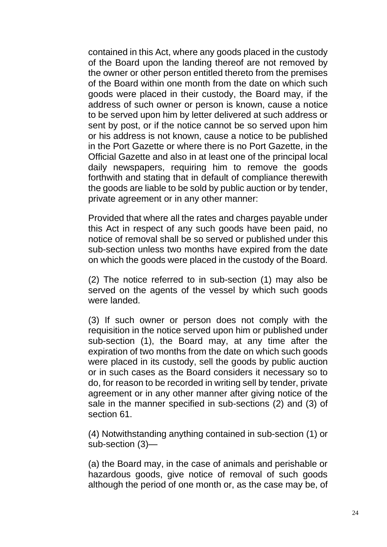contained in this Act, where any goods placed in the custody of the Board upon the landing thereof are not removed by the owner or other person entitled thereto from the premises of the Board within one month from the date on which such goods were placed in their custody, the Board may, if the address of such owner or person is known, cause a notice to be served upon him by letter delivered at such address or sent by post, or if the notice cannot be so served upon him or his address is not known, cause a notice to be published in the Port Gazette or where there is no Port Gazette, in the Official Gazette and also in at least one of the principal local daily newspapers, requiring him to remove the goods forthwith and stating that in default of compliance therewith the goods are liable to be sold by public auction or by tender, private agreement or in any other manner:

Provided that where all the rates and charges payable under this Act in respect of any such goods have been paid, no notice of removal shall be so served or published under this sub-section unless two months have expired from the date on which the goods were placed in the custody of the Board.

(2) The notice referred to in sub-section (1) may also be served on the agents of the vessel by which such goods were landed.

(3) If such owner or person does not comply with the requisition in the notice served upon him or published under sub-section (1), the Board may, at any time after the expiration of two months from the date on which such goods were placed in its custody, sell the goods by public auction or in such cases as the Board considers it necessary so to do, for reason to be recorded in writing sell by tender, private agreement or in any other manner after giving notice of the sale in the manner specified in sub-sections (2) and (3) of section 61.

(4) Notwithstanding anything contained in sub-section (1) or sub-section (3)—

(a) the Board may, in the case of animals and perishable or hazardous goods, give notice of removal of such goods although the period of one month or, as the case may be, of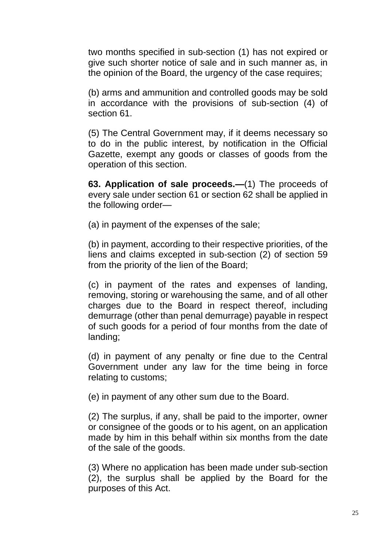two months specified in sub-section (1) has not expired or give such shorter notice of sale and in such manner as, in the opinion of the Board, the urgency of the case requires;

(b) arms and ammunition and controlled goods may be sold in accordance with the provisions of sub-section (4) of section 61.

(5) The Central Government may, if it deems necessary so to do in the public interest, by notification in the Official Gazette, exempt any goods or classes of goods from the operation of this section.

**63. Application of sale proceeds.—**(1) The proceeds of every sale under section 61 or section 62 shall be applied in the following order—

(a) in payment of the expenses of the sale;

(b) in payment, according to their respective priorities, of the liens and claims excepted in sub-section (2) of section 59 from the priority of the lien of the Board;

(c) in payment of the rates and expenses of landing, removing, storing or warehousing the same, and of all other charges due to the Board in respect thereof, including demurrage (other than penal demurrage) payable in respect of such goods for a period of four months from the date of landing;

(d) in payment of any penalty or fine due to the Central Government under any law for the time being in force relating to customs;

(e) in payment of any other sum due to the Board.

(2) The surplus, if any, shall be paid to the importer, owner or consignee of the goods or to his agent, on an application made by him in this behalf within six months from the date of the sale of the goods.

(3) Where no application has been made under sub-section (2), the surplus shall be applied by the Board for the purposes of this Act.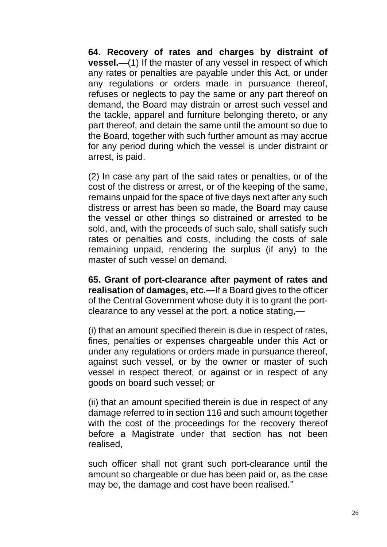**64. Recovery of rates and charges by distraint of vessel.—**(1) If the master of any vessel in respect of which any rates or penalties are payable under this Act, or under any regulations or orders made in pursuance thereof, refuses or neglects to pay the same or any part thereof on demand, the Board may distrain or arrest such vessel and the tackle, apparel and furniture belonging thereto, or any part thereof, and detain the same until the amount so due to the Board, together with such further amount as may accrue for any period during which the vessel is under distraint or arrest, is paid.

(2) In case any part of the said rates or penalties, or of the cost of the distress or arrest, or of the keeping of the same, remains unpaid for the space of five days next after any such distress or arrest has been so made, the Board may cause the vessel or other things so distrained or arrested to be sold, and, with the proceeds of such sale, shall satisfy such rates or penalties and costs, including the costs of sale remaining unpaid, rendering the surplus (if any) to the master of such vessel on demand.

**65. Grant of port-clearance after payment of rates and realisation of damages, etc.—**If a Board gives to the officer of the Central Government whose duty it is to grant the portclearance to any vessel at the port, a notice stating,—

(i) that an amount specified therein is due in respect of rates, fines, penalties or expenses chargeable under this Act or under any regulations or orders made in pursuance thereof, against such vessel, or by the owner or master of such vessel in respect thereof, or against or in respect of any goods on board such vessel; or

(ii) that an amount specified therein is due in respect of any damage referred to in section 116 and such amount together with the cost of the proceedings for the recovery thereof before a Magistrate under that section has not been realised,

such officer shall not grant such port-clearance until the amount so chargeable or due has been paid or, as the case may be, the damage and cost have been realised."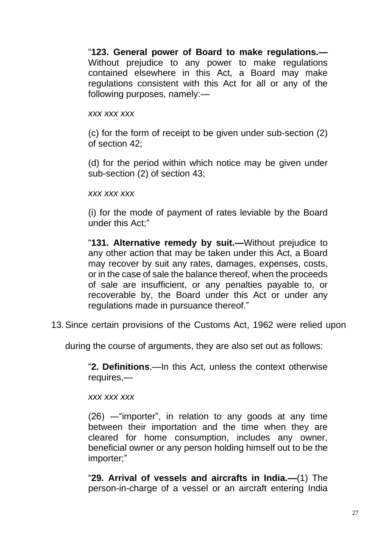"**123. General power of Board to make regulations.—** Without prejudice to any power to make regulations contained elsewhere in this Act, a Board may make regulations consistent with this Act for all or any of the following purposes, namely:—

#### *xxx xxx xxx*

(c) for the form of receipt to be given under sub-section (2) of section 42;

(d) for the period within which notice may be given under sub-section (2) of section 43;

#### *xxx xxx xxx*

(i) for the mode of payment of rates leviable by the Board under this Act;"

"**131. Alternative remedy by suit.—**Without prejudice to any other action that may be taken under this Act, a Board may recover by suit any rates, damages, expenses, costs, or in the case of sale the balance thereof, when the proceeds of sale are insufficient, or any penalties payable to, or recoverable by, the Board under this Act or under any regulations made in pursuance thereof."

13.Since certain provisions of the Customs Act, 1962 were relied upon

during the course of arguments, they are also set out as follows:

"**2. Definitions**.—In this Act, unless the context otherwise requires,—

*xxx xxx xxx*

(26) ―"importer", in relation to any goods at any time between their importation and the time when they are cleared for home consumption, includes any owner, beneficial owner or any person holding himself out to be the importer;"

"**29. Arrival of vessels and aircrafts in India.—**(1) The person-in-charge of a vessel or an aircraft entering India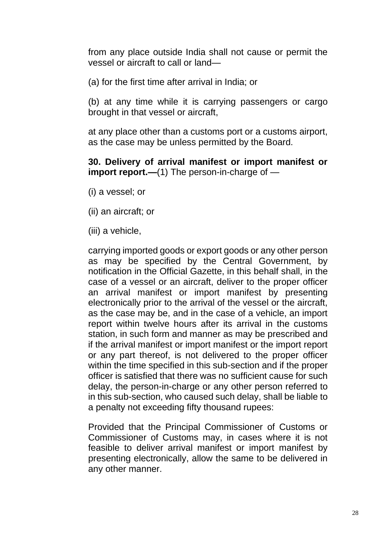from any place outside India shall not cause or permit the vessel or aircraft to call or land—

(a) for the first time after arrival in India; or

(b) at any time while it is carrying passengers or cargo brought in that vessel or aircraft,

at any place other than a customs port or a customs airport, as the case may be unless permitted by the Board.

**30. Delivery of arrival manifest or import manifest or import report.—**(1) The person-in-charge of —

- (i) a vessel; or
- (ii) an aircraft; or

(iii) a vehicle,

carrying imported goods or export goods or any other person as may be specified by the Central Government, by notification in the Official Gazette, in this behalf shall, in the case of a vessel or an aircraft, deliver to the proper officer an arrival manifest or import manifest by presenting electronically prior to the arrival of the vessel or the aircraft, as the case may be, and in the case of a vehicle, an import report within twelve hours after its arrival in the customs station, in such form and manner as may be prescribed and if the arrival manifest or import manifest or the import report or any part thereof, is not delivered to the proper officer within the time specified in this sub-section and if the proper officer is satisfied that there was no sufficient cause for such delay, the person-in-charge or any other person referred to in this sub-section, who caused such delay, shall be liable to a penalty not exceeding fifty thousand rupees:

Provided that the Principal Commissioner of Customs or Commissioner of Customs may, in cases where it is not feasible to deliver arrival manifest or import manifest by presenting electronically, allow the same to be delivered in any other manner.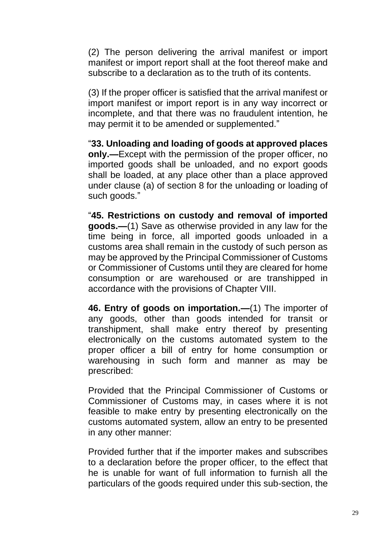(2) The person delivering the arrival manifest or import manifest or import report shall at the foot thereof make and subscribe to a declaration as to the truth of its contents.

(3) If the proper officer is satisfied that the arrival manifest or import manifest or import report is in any way incorrect or incomplete, and that there was no fraudulent intention, he may permit it to be amended or supplemented."

"**33. Unloading and loading of goods at approved places only.—**Except with the permission of the proper officer, no imported goods shall be unloaded, and no export goods shall be loaded, at any place other than a place approved under clause (a) of section 8 for the unloading or loading of such goods."

"**45. Restrictions on custody and removal of imported goods.—**(1) Save as otherwise provided in any law for the time being in force, all imported goods unloaded in a customs area shall remain in the custody of such person as may be approved by the Principal Commissioner of Customs or Commissioner of Customs until they are cleared for home consumption or are warehoused or are transhipped in accordance with the provisions of Chapter VIII.

**46. Entry of goods on importation.—**(1) The importer of any goods, other than goods intended for transit or transhipment, shall make entry thereof by presenting electronically on the customs automated system to the proper officer a bill of entry for home consumption or warehousing in such form and manner as may be prescribed:

Provided that the Principal Commissioner of Customs or Commissioner of Customs may, in cases where it is not feasible to make entry by presenting electronically on the customs automated system, allow an entry to be presented in any other manner:

Provided further that if the importer makes and subscribes to a declaration before the proper officer, to the effect that he is unable for want of full information to furnish all the particulars of the goods required under this sub-section, the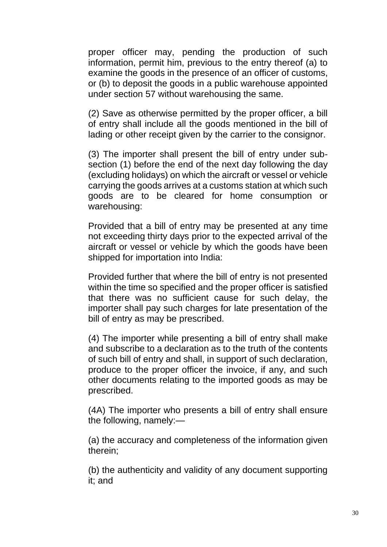proper officer may, pending the production of such information, permit him, previous to the entry thereof (a) to examine the goods in the presence of an officer of customs, or (b) to deposit the goods in a public warehouse appointed under section 57 without warehousing the same.

(2) Save as otherwise permitted by the proper officer, a bill of entry shall include all the goods mentioned in the bill of lading or other receipt given by the carrier to the consignor.

(3) The importer shall present the bill of entry under subsection (1) before the end of the next day following the day (excluding holidays) on which the aircraft or vessel or vehicle carrying the goods arrives at a customs station at which such goods are to be cleared for home consumption or warehousing:

Provided that a bill of entry may be presented at any time not exceeding thirty days prior to the expected arrival of the aircraft or vessel or vehicle by which the goods have been shipped for importation into India:

Provided further that where the bill of entry is not presented within the time so specified and the proper officer is satisfied that there was no sufficient cause for such delay, the importer shall pay such charges for late presentation of the bill of entry as may be prescribed.

(4) The importer while presenting a bill of entry shall make and subscribe to a declaration as to the truth of the contents of such bill of entry and shall, in support of such declaration, produce to the proper officer the invoice, if any, and such other documents relating to the imported goods as may be prescribed.

(4A) The importer who presents a bill of entry shall ensure the following, namely:—

(a) the accuracy and completeness of the information given therein;

(b) the authenticity and validity of any document supporting it; and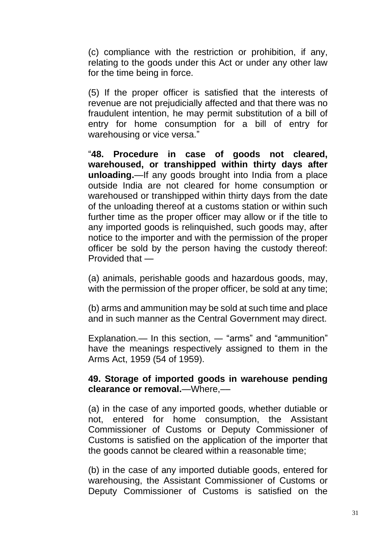(c) compliance with the restriction or prohibition, if any, relating to the goods under this Act or under any other law for the time being in force.

(5) If the proper officer is satisfied that the interests of revenue are not prejudicially affected and that there was no fraudulent intention, he may permit substitution of a bill of entry for home consumption for a bill of entry for warehousing or vice versa."

"**48. Procedure in case of goods not cleared, warehoused, or transhipped within thirty days after unloading.**—If any goods brought into India from a place outside India are not cleared for home consumption or warehoused or transhipped within thirty days from the date of the unloading thereof at a customs station or within such further time as the proper officer may allow or if the title to any imported goods is relinquished, such goods may, after notice to the importer and with the permission of the proper officer be sold by the person having the custody thereof: Provided that —

(a) animals, perishable goods and hazardous goods, may, with the permission of the proper officer, be sold at any time;

(b) arms and ammunition may be sold at such time and place and in such manner as the Central Government may direct.

Explanation.— In this section, ― "arms" and "ammunition" have the meanings respectively assigned to them in the Arms Act, 1959 (54 of 1959).

### **49. Storage of imported goods in warehouse pending clearance or removal.**—Where,––

(a) in the case of any imported goods, whether dutiable or not, entered for home consumption, the Assistant Commissioner of Customs or Deputy Commissioner of Customs is satisfied on the application of the importer that the goods cannot be cleared within a reasonable time;

(b) in the case of any imported dutiable goods, entered for warehousing, the Assistant Commissioner of Customs or Deputy Commissioner of Customs is satisfied on the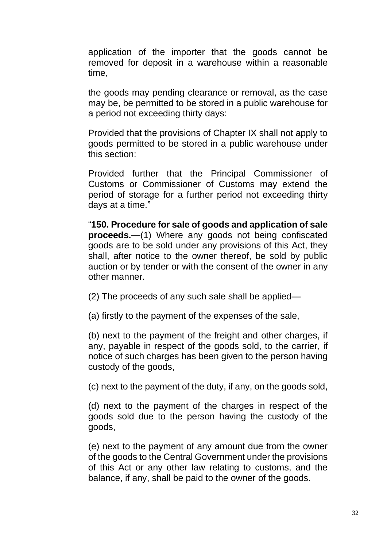application of the importer that the goods cannot be removed for deposit in a warehouse within a reasonable time,

the goods may pending clearance or removal, as the case may be, be permitted to be stored in a public warehouse for a period not exceeding thirty days:

Provided that the provisions of Chapter IX shall not apply to goods permitted to be stored in a public warehouse under this section:

Provided further that the Principal Commissioner of Customs or Commissioner of Customs may extend the period of storage for a further period not exceeding thirty days at a time."

"**150. Procedure for sale of goods and application of sale proceeds.—(1)** Where any goods not being confiscated goods are to be sold under any provisions of this Act, they shall, after notice to the owner thereof, be sold by public auction or by tender or with the consent of the owner in any other manner.

(2) The proceeds of any such sale shall be applied—

(a) firstly to the payment of the expenses of the sale,

(b) next to the payment of the freight and other charges, if any, payable in respect of the goods sold, to the carrier, if notice of such charges has been given to the person having custody of the goods,

(c) next to the payment of the duty, if any, on the goods sold,

(d) next to the payment of the charges in respect of the goods sold due to the person having the custody of the goods,

(e) next to the payment of any amount due from the owner of the goods to the Central Government under the provisions of this Act or any other law relating to customs, and the balance, if any, shall be paid to the owner of the goods.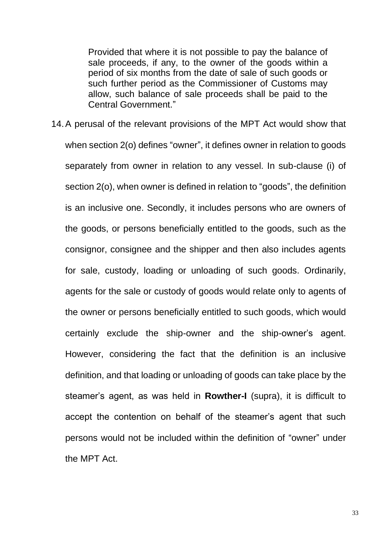Provided that where it is not possible to pay the balance of sale proceeds, if any, to the owner of the goods within a period of six months from the date of sale of such goods or such further period as the Commissioner of Customs may allow, such balance of sale proceeds shall be paid to the Central Government."

14.A perusal of the relevant provisions of the MPT Act would show that when section 2(o) defines "owner", it defines owner in relation to goods separately from owner in relation to any vessel. In sub-clause (i) of section 2(o), when owner is defined in relation to "goods", the definition is an inclusive one. Secondly, it includes persons who are owners of the goods, or persons beneficially entitled to the goods, such as the consignor, consignee and the shipper and then also includes agents for sale, custody, loading or unloading of such goods. Ordinarily, agents for the sale or custody of goods would relate only to agents of the owner or persons beneficially entitled to such goods, which would certainly exclude the ship-owner and the ship-owner's agent. However, considering the fact that the definition is an inclusive definition, and that loading or unloading of goods can take place by the steamer's agent, as was held in **Rowther-I** (supra), it is difficult to accept the contention on behalf of the steamer's agent that such persons would not be included within the definition of "owner" under the MPT Act.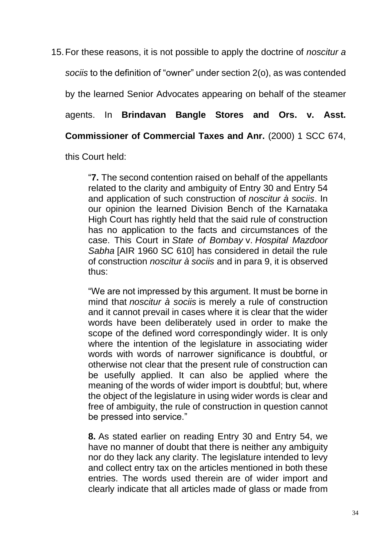15.For these reasons, it is not possible to apply the doctrine of *noscitur a sociis* to the definition of "owner" under section 2(o), as was contended by the learned Senior Advocates appearing on behalf of the steamer agents. In **Brindavan Bangle Stores and Ors. v. Asst. Commissioner of Commercial Taxes and Anr.** (2000) 1 SCC 674,

this Court held:

"**7.** The second contention raised on behalf of the appellants related to the clarity and ambiguity of Entry 30 and Entry 54 and application of such construction of *noscitur à sociis*. In our opinion the learned Division Bench of the Karnataka High Court has rightly held that the said rule of construction has no application to the facts and circumstances of the case. This Court in *State of Bombay* v. *Hospital Mazdoor Sabha* [AIR 1960 SC 610] has considered in detail the rule of construction *noscitur à sociis* and in para 9, it is observed thus:

"We are not impressed by this argument. It must be borne in mind that *noscitur à sociis* is merely a rule of construction and it cannot prevail in cases where it is clear that the wider words have been deliberately used in order to make the scope of the defined word correspondingly wider. It is only where the intention of the legislature in associating wider words with words of narrower significance is doubtful, or otherwise not clear that the present rule of construction can be usefully applied. It can also be applied where the meaning of the words of wider import is doubtful; but, where the object of the legislature in using wider words is clear and free of ambiguity, the rule of construction in question cannot be pressed into service."

**8.** As stated earlier on reading Entry 30 and Entry 54, we have no manner of doubt that there is neither any ambiguity nor do they lack any clarity. The legislature intended to levy and collect entry tax on the articles mentioned in both these entries. The words used therein are of wider import and clearly indicate that all articles made of glass or made from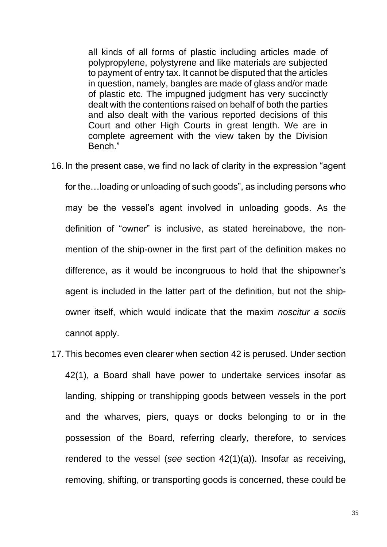all kinds of all forms of plastic including articles made of polypropylene, polystyrene and like materials are subjected to payment of entry tax. It cannot be disputed that the articles in question, namely, bangles are made of glass and/or made of plastic etc. The impugned judgment has very succinctly dealt with the contentions raised on behalf of both the parties and also dealt with the various reported decisions of this Court and other High Courts in great length. We are in complete agreement with the view taken by the Division Bench."

- 16.In the present case, we find no lack of clarity in the expression "agent for the…loading or unloading of such goods", as including persons who may be the vessel's agent involved in unloading goods. As the definition of "owner" is inclusive, as stated hereinabove, the nonmention of the ship-owner in the first part of the definition makes no difference, as it would be incongruous to hold that the shipowner's agent is included in the latter part of the definition, but not the shipowner itself, which would indicate that the maxim *noscitur a sociis* cannot apply.
- 17.This becomes even clearer when section 42 is perused. Under section 42(1), a Board shall have power to undertake services insofar as landing, shipping or transhipping goods between vessels in the port and the wharves, piers, quays or docks belonging to or in the possession of the Board, referring clearly, therefore, to services rendered to the vessel (*see* section 42(1)(a)). Insofar as receiving, removing, shifting, or transporting goods is concerned, these could be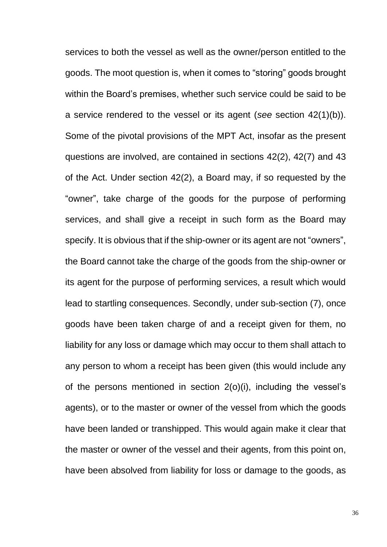services to both the vessel as well as the owner/person entitled to the goods. The moot question is, when it comes to "storing" goods brought within the Board's premises, whether such service could be said to be a service rendered to the vessel or its agent (*see* section 42(1)(b)). Some of the pivotal provisions of the MPT Act, insofar as the present questions are involved, are contained in sections 42(2), 42(7) and 43 of the Act. Under section 42(2), a Board may, if so requested by the "owner", take charge of the goods for the purpose of performing services, and shall give a receipt in such form as the Board may specify. It is obvious that if the ship-owner or its agent are not "owners", the Board cannot take the charge of the goods from the ship-owner or its agent for the purpose of performing services, a result which would lead to startling consequences. Secondly, under sub-section (7), once goods have been taken charge of and a receipt given for them, no liability for any loss or damage which may occur to them shall attach to any person to whom a receipt has been given (this would include any of the persons mentioned in section 2(o)(i), including the vessel's agents), or to the master or owner of the vessel from which the goods have been landed or transhipped. This would again make it clear that the master or owner of the vessel and their agents, from this point on, have been absolved from liability for loss or damage to the goods, as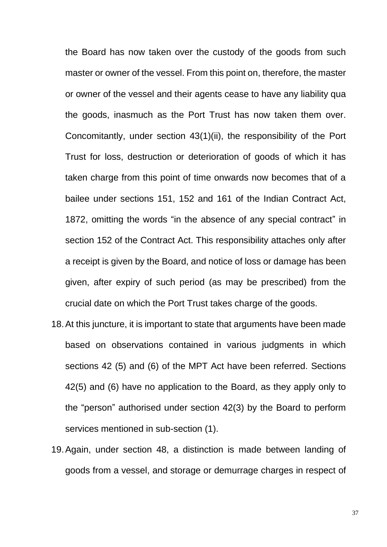the Board has now taken over the custody of the goods from such master or owner of the vessel. From this point on, therefore, the master or owner of the vessel and their agents cease to have any liability qua the goods, inasmuch as the Port Trust has now taken them over. Concomitantly, under section 43(1)(ii), the responsibility of the Port Trust for loss, destruction or deterioration of goods of which it has taken charge from this point of time onwards now becomes that of a bailee under sections 151, 152 and 161 of the Indian Contract Act, 1872, omitting the words "in the absence of any special contract" in section 152 of the Contract Act. This responsibility attaches only after a receipt is given by the Board, and notice of loss or damage has been given, after expiry of such period (as may be prescribed) from the crucial date on which the Port Trust takes charge of the goods.

- 18.At this juncture, it is important to state that arguments have been made based on observations contained in various judgments in which sections 42 (5) and (6) of the MPT Act have been referred. Sections 42(5) and (6) have no application to the Board, as they apply only to the "person" authorised under section 42(3) by the Board to perform services mentioned in sub-section (1).
- 19.Again, under section 48, a distinction is made between landing of goods from a vessel, and storage or demurrage charges in respect of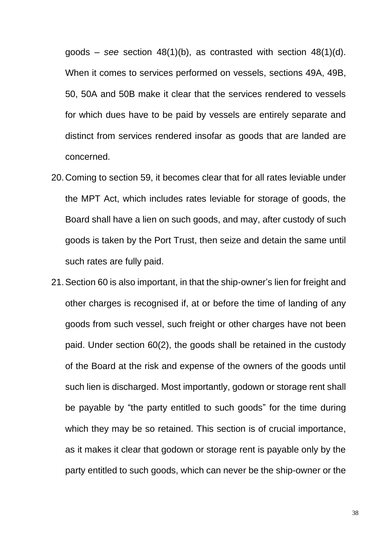goods – *see* section 48(1)(b), as contrasted with section 48(1)(d). When it comes to services performed on vessels, sections 49A, 49B, 50, 50A and 50B make it clear that the services rendered to vessels for which dues have to be paid by vessels are entirely separate and distinct from services rendered insofar as goods that are landed are concerned.

- 20.Coming to section 59, it becomes clear that for all rates leviable under the MPT Act, which includes rates leviable for storage of goods, the Board shall have a lien on such goods, and may, after custody of such goods is taken by the Port Trust, then seize and detain the same until such rates are fully paid.
- 21.Section 60 is also important, in that the ship-owner's lien for freight and other charges is recognised if, at or before the time of landing of any goods from such vessel, such freight or other charges have not been paid. Under section 60(2), the goods shall be retained in the custody of the Board at the risk and expense of the owners of the goods until such lien is discharged. Most importantly, godown or storage rent shall be payable by "the party entitled to such goods" for the time during which they may be so retained. This section is of crucial importance, as it makes it clear that godown or storage rent is payable only by the party entitled to such goods, which can never be the ship-owner or the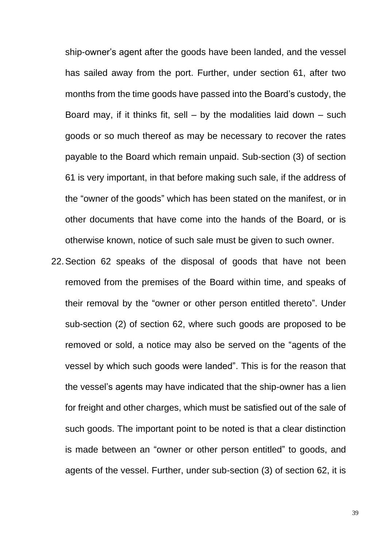ship-owner's agent after the goods have been landed, and the vessel has sailed away from the port. Further, under section 61, after two months from the time goods have passed into the Board's custody, the Board may, if it thinks fit, sell  $-$  by the modalities laid down  $-$  such goods or so much thereof as may be necessary to recover the rates payable to the Board which remain unpaid. Sub-section (3) of section 61 is very important, in that before making such sale, if the address of the "owner of the goods" which has been stated on the manifest, or in other documents that have come into the hands of the Board, or is otherwise known, notice of such sale must be given to such owner.

22.Section 62 speaks of the disposal of goods that have not been removed from the premises of the Board within time, and speaks of their removal by the "owner or other person entitled thereto". Under sub-section (2) of section 62, where such goods are proposed to be removed or sold, a notice may also be served on the "agents of the vessel by which such goods were landed". This is for the reason that the vessel's agents may have indicated that the ship-owner has a lien for freight and other charges, which must be satisfied out of the sale of such goods. The important point to be noted is that a clear distinction is made between an "owner or other person entitled" to goods, and agents of the vessel. Further, under sub-section (3) of section 62, it is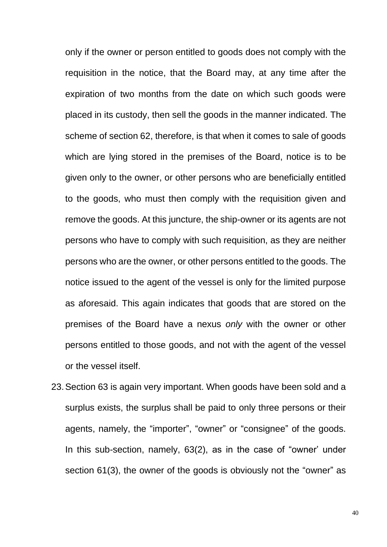only if the owner or person entitled to goods does not comply with the requisition in the notice, that the Board may, at any time after the expiration of two months from the date on which such goods were placed in its custody, then sell the goods in the manner indicated. The scheme of section 62, therefore, is that when it comes to sale of goods which are lying stored in the premises of the Board, notice is to be given only to the owner, or other persons who are beneficially entitled to the goods, who must then comply with the requisition given and remove the goods. At this juncture, the ship-owner or its agents are not persons who have to comply with such requisition, as they are neither persons who are the owner, or other persons entitled to the goods. The notice issued to the agent of the vessel is only for the limited purpose as aforesaid. This again indicates that goods that are stored on the premises of the Board have a nexus *only* with the owner or other persons entitled to those goods, and not with the agent of the vessel or the vessel itself.

23.Section 63 is again very important. When goods have been sold and a surplus exists, the surplus shall be paid to only three persons or their agents, namely, the "importer", "owner" or "consignee" of the goods. In this sub-section, namely, 63(2), as in the case of "owner' under section 61(3), the owner of the goods is obviously not the "owner" as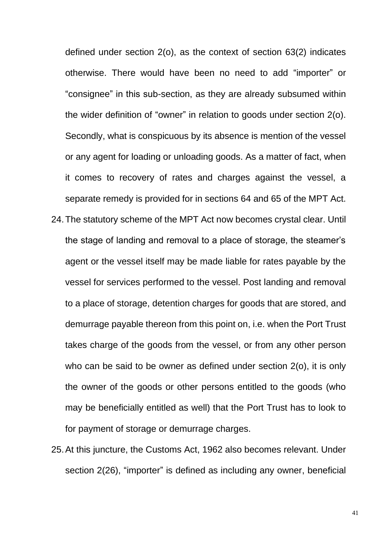defined under section 2(o), as the context of section 63(2) indicates otherwise. There would have been no need to add "importer" or "consignee" in this sub-section, as they are already subsumed within the wider definition of "owner" in relation to goods under section 2(o). Secondly, what is conspicuous by its absence is mention of the vessel or any agent for loading or unloading goods. As a matter of fact, when it comes to recovery of rates and charges against the vessel, a separate remedy is provided for in sections 64 and 65 of the MPT Act. 24.The statutory scheme of the MPT Act now becomes crystal clear. Until the stage of landing and removal to a place of storage, the steamer's agent or the vessel itself may be made liable for rates payable by the vessel for services performed to the vessel. Post landing and removal to a place of storage, detention charges for goods that are stored, and demurrage payable thereon from this point on, i.e. when the Port Trust takes charge of the goods from the vessel, or from any other person who can be said to be owner as defined under section 2(o), it is only the owner of the goods or other persons entitled to the goods (who may be beneficially entitled as well) that the Port Trust has to look to for payment of storage or demurrage charges.

25.At this juncture, the Customs Act, 1962 also becomes relevant. Under section 2(26), "importer" is defined as including any owner, beneficial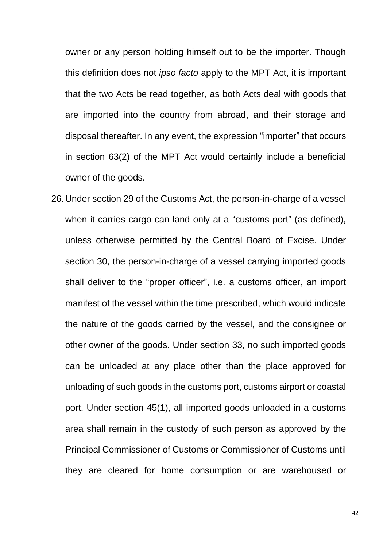owner or any person holding himself out to be the importer. Though this definition does not *ipso facto* apply to the MPT Act, it is important that the two Acts be read together, as both Acts deal with goods that are imported into the country from abroad, and their storage and disposal thereafter. In any event, the expression "importer" that occurs in section 63(2) of the MPT Act would certainly include a beneficial owner of the goods.

26.Under section 29 of the Customs Act, the person-in-charge of a vessel when it carries cargo can land only at a "customs port" (as defined), unless otherwise permitted by the Central Board of Excise. Under section 30, the person-in-charge of a vessel carrying imported goods shall deliver to the "proper officer", i.e. a customs officer, an import manifest of the vessel within the time prescribed, which would indicate the nature of the goods carried by the vessel, and the consignee or other owner of the goods. Under section 33, no such imported goods can be unloaded at any place other than the place approved for unloading of such goods in the customs port, customs airport or coastal port. Under section 45(1), all imported goods unloaded in a customs area shall remain in the custody of such person as approved by the Principal Commissioner of Customs or Commissioner of Customs until they are cleared for home consumption or are warehoused or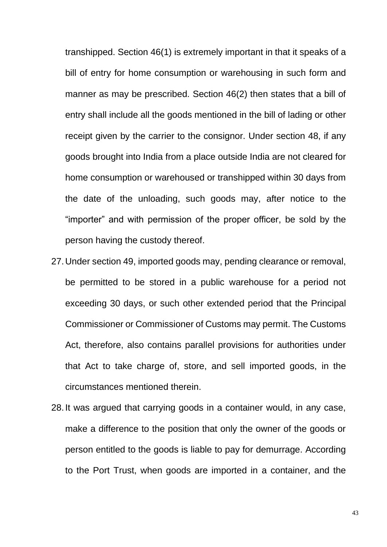transhipped. Section 46(1) is extremely important in that it speaks of a bill of entry for home consumption or warehousing in such form and manner as may be prescribed. Section 46(2) then states that a bill of entry shall include all the goods mentioned in the bill of lading or other receipt given by the carrier to the consignor. Under section 48, if any goods brought into India from a place outside India are not cleared for home consumption or warehoused or transhipped within 30 days from the date of the unloading, such goods may, after notice to the "importer" and with permission of the proper officer, be sold by the person having the custody thereof.

- 27.Under section 49, imported goods may, pending clearance or removal, be permitted to be stored in a public warehouse for a period not exceeding 30 days, or such other extended period that the Principal Commissioner or Commissioner of Customs may permit. The Customs Act, therefore, also contains parallel provisions for authorities under that Act to take charge of, store, and sell imported goods, in the circumstances mentioned therein.
- 28.It was argued that carrying goods in a container would, in any case, make a difference to the position that only the owner of the goods or person entitled to the goods is liable to pay for demurrage. According to the Port Trust, when goods are imported in a container, and the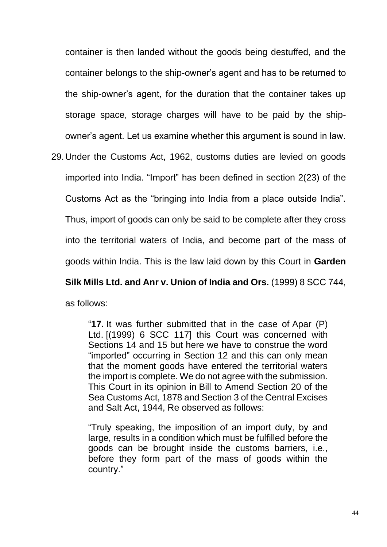container is then landed without the goods being destuffed, and the container belongs to the ship-owner's agent and has to be returned to the ship-owner's agent, for the duration that the container takes up storage space, storage charges will have to be paid by the shipowner's agent. Let us examine whether this argument is sound in law.

29.Under the Customs Act, 1962, customs duties are levied on goods imported into India. "Import" has been defined in section 2(23) of the Customs Act as the "bringing into India from a place outside India". Thus, import of goods can only be said to be complete after they cross into the territorial waters of India, and become part of the mass of goods within India. This is the law laid down by this Court in **Garden** 

**Silk Mills Ltd. and Anr v. Union of India and Ors.** (1999) 8 SCC 744, as follows:

"**17.** It was further submitted that in the case of Apar (P) Ltd. [(1999) 6 SCC 117] this Court was concerned with Sections 14 and 15 but here we have to construe the word "imported" occurring in Section 12 and this can only mean that the moment goods have entered the territorial waters the import is complete. We do not agree with the submission. This Court in its opinion in Bill to Amend Section 20 of the Sea Customs Act, 1878 and Section 3 of the Central Excises and Salt Act, 1944, Re observed as follows:

"Truly speaking, the imposition of an import duty, by and large, results in a condition which must be fulfilled before the goods can be brought inside the customs barriers, i.e., before they form part of the mass of goods within the country."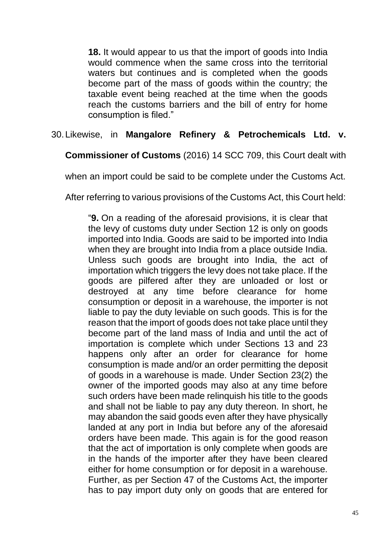**18.** It would appear to us that the import of goods into India would commence when the same cross into the territorial waters but continues and is completed when the goods become part of the mass of goods within the country; the taxable event being reached at the time when the goods reach the customs barriers and the bill of entry for home consumption is filed."

# 30.Likewise, in **Mangalore Refinery & Petrochemicals Ltd. v.**

**Commissioner of Customs** (2016) 14 SCC 709, this Court dealt with

when an import could be said to be complete under the Customs Act.

After referring to various provisions of the Customs Act, this Court held:

"**9.** On a reading of the aforesaid provisions, it is clear that the levy of customs duty under Section 12 is only on goods imported into India. Goods are said to be imported into India when they are brought into India from a place outside India. Unless such goods are brought into India, the act of importation which triggers the levy does not take place. If the goods are pilfered after they are unloaded or lost or destroyed at any time before clearance for home consumption or deposit in a warehouse, the importer is not liable to pay the duty leviable on such goods. This is for the reason that the import of goods does not take place until they become part of the land mass of India and until the act of importation is complete which under Sections 13 and 23 happens only after an order for clearance for home consumption is made and/or an order permitting the deposit of goods in a warehouse is made. Under Section 23(2) the owner of the imported goods may also at any time before such orders have been made relinquish his title to the goods and shall not be liable to pay any duty thereon. In short, he may abandon the said goods even after they have physically landed at any port in India but before any of the aforesaid orders have been made. This again is for the good reason that the act of importation is only complete when goods are in the hands of the importer after they have been cleared either for home consumption or for deposit in a warehouse. Further, as per Section 47 of the Customs Act, the importer has to pay import duty only on goods that are entered for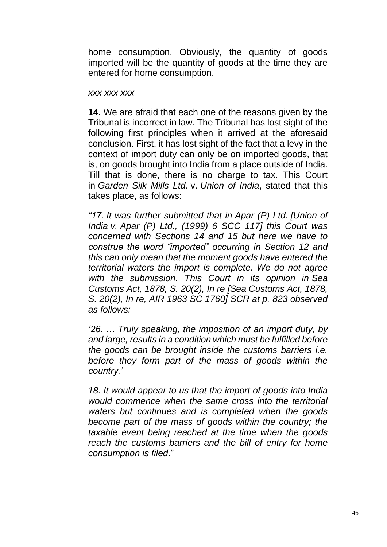home consumption. Obviously, the quantity of goods imported will be the quantity of goods at the time they are entered for home consumption.

#### *xxx xxx xxx*

**14.** We are afraid that each one of the reasons given by the Tribunal is incorrect in law. The Tribunal has lost sight of the following first principles when it arrived at the aforesaid conclusion. First, it has lost sight of the fact that a levy in the context of import duty can only be on imported goods, that is, on goods brought into India from a place outside of India. Till that is done, there is no charge to tax. This Court in *Garden Silk Mills Ltd.* v. *Union of India*, stated that this takes place, as follows:

*"17. It was further submitted that in Apar (P) Ltd. [Union of India v. Apar (P) Ltd., (1999) 6 SCC 117] this Court was concerned with Sections 14 and 15 but here we have to construe the word "imported" occurring in Section 12 and this can only mean that the moment goods have entered the territorial waters the import is complete. We do not agree with the submission. This Court in its opinion in Sea Customs Act, 1878, S. 20(2), In re [Sea Customs Act, 1878, S. 20(2), In re, AIR 1963 SC 1760] SCR at p. 823 observed as follows:*

*'26. … Truly speaking, the imposition of an import duty, by and large, results in a condition which must be fulfilled before the goods can be brought inside the customs barriers i.e. before they form part of the mass of goods within the country.'*

*18. It would appear to us that the import of goods into India would commence when the same cross into the territorial waters but continues and is completed when the goods become part of the mass of goods within the country; the taxable event being reached at the time when the goods reach the customs barriers and the bill of entry for home consumption is filed*."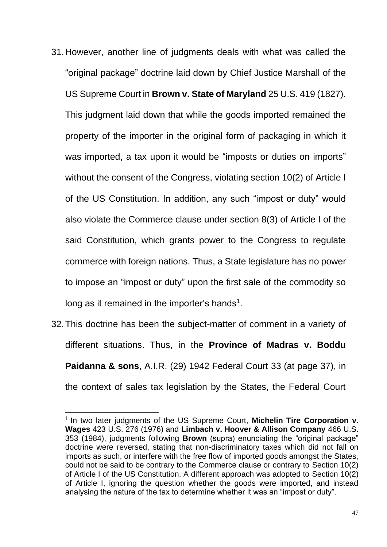- 31.However, another line of judgments deals with what was called the "original package" doctrine laid down by Chief Justice Marshall of the US Supreme Court in **Brown v. State of Maryland** 25 U.S. 419 (1827). This judgment laid down that while the goods imported remained the property of the importer in the original form of packaging in which it was imported, a tax upon it would be "imposts or duties on imports" without the consent of the Congress, violating section 10(2) of Article I of the US Constitution. In addition, any such "impost or duty" would also violate the Commerce clause under section 8(3) of Article I of the said Constitution, which grants power to the Congress to regulate commerce with foreign nations. Thus, a State legislature has no power to impose an "impost or duty" upon the first sale of the commodity so long as it remained in the importer's hands $^1$ .
- 32.This doctrine has been the subject-matter of comment in a variety of different situations. Thus, in the **Province of Madras v. Boddu Paidanna & sons**, A.I.R. (29) 1942 Federal Court 33 (at page 37), in the context of sales tax legislation by the States, the Federal Court

<sup>1</sup> In two later judgments of the US Supreme Court, **Michelin Tire Corporation v. Wages** 423 U.S. 276 (1976) and **Limbach v. Hoover & Allison Company** 466 U.S. 353 (1984), judgments following **Brown** (supra) enunciating the "original package" doctrine were reversed, stating that non-discriminatory taxes which did not fall on imports as such, or interfere with the free flow of imported goods amongst the States, could not be said to be contrary to the Commerce clause or contrary to Section 10(2) of Article I of the US Constitution. A different approach was adopted to Section 10(2) of Article I, ignoring the question whether the goods were imported, and instead analysing the nature of the tax to determine whether it was an "impost or duty".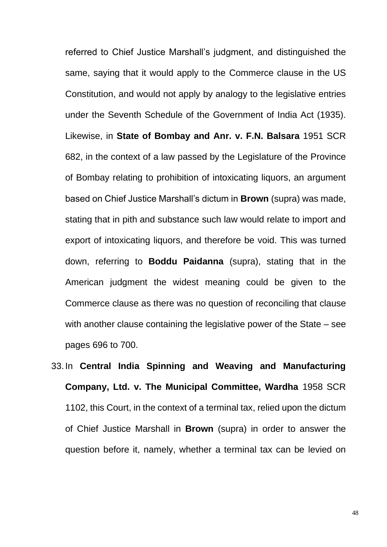referred to Chief Justice Marshall's judgment, and distinguished the same, saying that it would apply to the Commerce clause in the US Constitution, and would not apply by analogy to the legislative entries under the Seventh Schedule of the Government of India Act (1935). Likewise, in **State of Bombay and Anr. v. F.N. Balsara** 1951 SCR 682, in the context of a law passed by the Legislature of the Province of Bombay relating to prohibition of intoxicating liquors, an argument based on Chief Justice Marshall's dictum in **Brown** (supra) was made, stating that in pith and substance such law would relate to import and export of intoxicating liquors, and therefore be void. This was turned down, referring to **Boddu Paidanna** (supra), stating that in the American judgment the widest meaning could be given to the Commerce clause as there was no question of reconciling that clause with another clause containing the legislative power of the State – see pages 696 to 700.

33.In **Central India Spinning and Weaving and Manufacturing Company, Ltd. v. The Municipal Committee, Wardha** 1958 SCR 1102, this Court, in the context of a terminal tax, relied upon the dictum of Chief Justice Marshall in **Brown** (supra) in order to answer the question before it, namely, whether a terminal tax can be levied on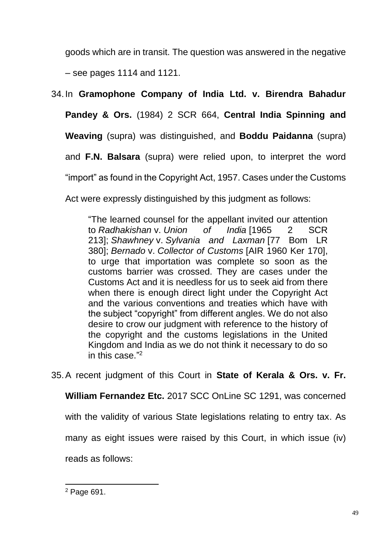goods which are in transit. The question was answered in the negative – see pages 1114 and 1121.

34.In **Gramophone Company of India Ltd. v. Birendra Bahadur Pandey & Ors.** (1984) 2 SCR 664, **Central India Spinning and** 

**Weaving** (supra) was distinguished, and **Boddu Paidanna** (supra)

and **F.N. Balsara** (supra) were relied upon, to interpret the word

"import" as found in the Copyright Act, 1957. Cases under the Customs

Act were expressly distinguished by this judgment as follows:

"The learned counsel for the appellant invited our attention to *Radhakishan* v. *Union of India* [1965 2 SCR 213]; *Shawhney* v. *Sylvania and Laxman* [77 Bom LR 380]; *Bernado* v. *Collector of Customs* [AIR 1960 Ker 170], to urge that importation was complete so soon as the customs barrier was crossed. They are cases under the Customs Act and it is needless for us to seek aid from there when there is enough direct light under the Copyright Act and the various conventions and treaties which have with the subject "copyright" from different angles. We do not also desire to crow our judgment with reference to the history of the copyright and the customs legislations in the United Kingdom and India as we do not think it necessary to do so in this case." 2

35.A recent judgment of this Court in **State of Kerala & Ors. v. Fr.** 

**William Fernandez Etc.** 2017 SCC OnLine SC 1291, was concerned

with the validity of various State legislations relating to entry tax. As

many as eight issues were raised by this Court, in which issue (iv)

reads as follows:

<sup>2</sup> Page 691.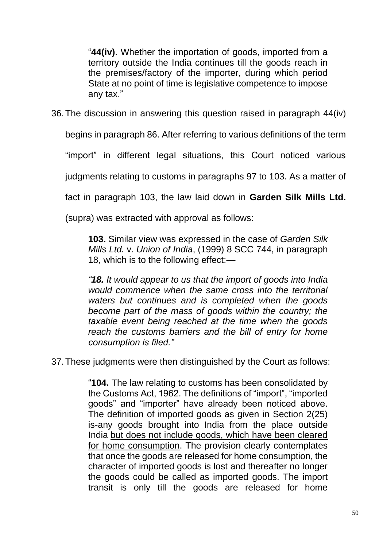"**44(iv)**. Whether the importation of goods, imported from a territory outside the India continues till the goods reach in the premises/factory of the importer, during which period State at no point of time is legislative competence to impose any tax."

36.The discussion in answering this question raised in paragraph 44(iv)

begins in paragraph 86. After referring to various definitions of the term

"import" in different legal situations, this Court noticed various

judgments relating to customs in paragraphs 97 to 103. As a matter of

fact in paragraph 103, the law laid down in **Garden Silk Mills Ltd.**

(supra) was extracted with approval as follows:

**103.** Similar view was expressed in the case of *Garden Silk Mills Ltd.* v. *Union of India*, (1999) 8 SCC 744, in paragraph 18, which is to the following effect:—

*"18. It would appear to us that the import of goods into India would commence when the same cross into the territorial waters but continues and is completed when the goods become part of the mass of goods within the country; the taxable event being reached at the time when the goods reach the customs barriers and the bill of entry for home consumption is filed."*

37.These judgments were then distinguished by the Court as follows:

"**104.** The law relating to customs has been consolidated by the Customs Act, 1962. The definitions of "import", "imported goods" and "importer" have already been noticed above. The definition of imported goods as given in Section 2(25) is-any goods brought into India from the place outside India but does not include goods, which have been cleared for home consumption. The provision clearly contemplates that once the goods are released for home consumption, the character of imported goods is lost and thereafter no longer the goods could be called as imported goods. The import transit is only till the goods are released for home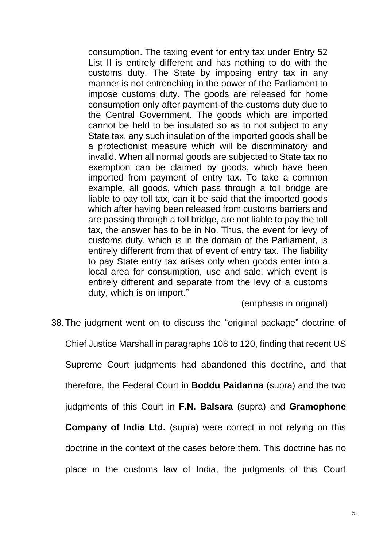consumption. The taxing event for entry tax under Entry 52 List II is entirely different and has nothing to do with the customs duty. The State by imposing entry tax in any manner is not entrenching in the power of the Parliament to impose customs duty. The goods are released for home consumption only after payment of the customs duty due to the Central Government. The goods which are imported cannot be held to be insulated so as to not subject to any State tax, any such insulation of the imported goods shall be a protectionist measure which will be discriminatory and invalid. When all normal goods are subjected to State tax no exemption can be claimed by goods, which have been imported from payment of entry tax. To take a common example, all goods, which pass through a toll bridge are liable to pay toll tax, can it be said that the imported goods which after having been released from customs barriers and are passing through a toll bridge, are not liable to pay the toll tax, the answer has to be in No. Thus, the event for levy of customs duty, which is in the domain of the Parliament, is entirely different from that of event of entry tax. The liability to pay State entry tax arises only when goods enter into a local area for consumption, use and sale, which event is entirely different and separate from the levy of a customs duty, which is on import."

(emphasis in original)

38.The judgment went on to discuss the "original package" doctrine of Chief Justice Marshall in paragraphs 108 to 120, finding that recent US Supreme Court judgments had abandoned this doctrine, and that therefore, the Federal Court in **Boddu Paidanna** (supra) and the two judgments of this Court in **F.N. Balsara** (supra) and **Gramophone Company of India Ltd.** (supra) were correct in not relying on this doctrine in the context of the cases before them. This doctrine has no place in the customs law of India, the judgments of this Court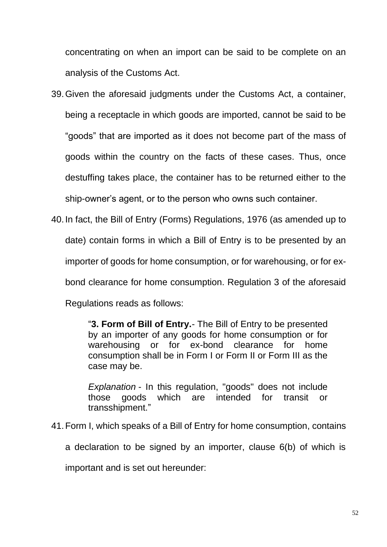concentrating on when an import can be said to be complete on an analysis of the Customs Act.

- 39.Given the aforesaid judgments under the Customs Act, a container, being a receptacle in which goods are imported, cannot be said to be "goods" that are imported as it does not become part of the mass of goods within the country on the facts of these cases. Thus, once destuffing takes place, the container has to be returned either to the ship-owner's agent, or to the person who owns such container.
- 40.In fact, the Bill of Entry (Forms) Regulations, 1976 (as amended up to date) contain forms in which a Bill of Entry is to be presented by an importer of goods for home consumption, or for warehousing, or for exbond clearance for home consumption. Regulation 3 of the aforesaid Regulations reads as follows:

"**3. Form of Bill of Entry.**- The Bill of Entry to be presented by an importer of any goods for home consumption or for warehousing or for ex-bond clearance for home consumption shall be in Form I or Form II or Form III as the case may be.

*Explanation* - In this regulation, "goods" does not include those goods which are intended for transit or transshipment."

41.Form I, which speaks of a Bill of Entry for home consumption, contains

a declaration to be signed by an importer, clause 6(b) of which is

important and is set out hereunder: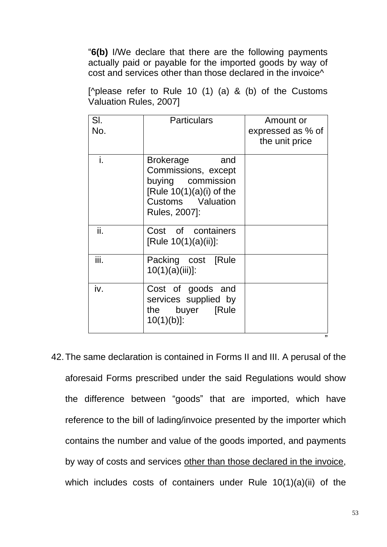"**6(b)** I/We declare that there are the following payments actually paid or payable for the imported goods by way of cost and services other than those declared in the invoice^

[^please refer to Rule 10 (1) (a) & (b) of the Customs Valuation Rules, 2007]

| SI.<br>No. | <b>Particulars</b>                                                                                                                      | Amount or<br>expressed as % of<br>the unit price |
|------------|-----------------------------------------------------------------------------------------------------------------------------------------|--------------------------------------------------|
| i.         | <b>Brokerage</b><br>and<br>Commissions, except<br>buying commission<br>[Rule $10(1)(a)(i)$ of the<br>Customs Valuation<br>Rules, 2007]: |                                                  |
| ii.        | Cost of containers<br>[Rule 10(1)(a)(ii)]:                                                                                              |                                                  |
| iii.       | Packing cost [Rule<br>$10(1)(a)(iii)$ :                                                                                                 |                                                  |
| iv.        | Cost of goods and<br>services supplied by<br>the buyer [Rule<br>$10(1)(b)$ :                                                            | "                                                |

42.The same declaration is contained in Forms II and III. A perusal of the aforesaid Forms prescribed under the said Regulations would show the difference between "goods" that are imported, which have reference to the bill of lading/invoice presented by the importer which contains the number and value of the goods imported, and payments by way of costs and services other than those declared in the invoice, which includes costs of containers under Rule 10(1)(a)(ii) of the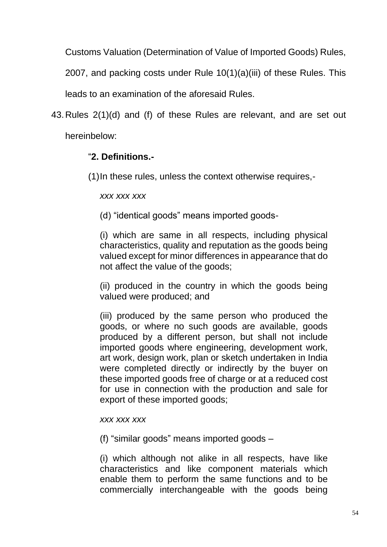Customs Valuation (Determination of Value of Imported Goods) Rules,

2007, and packing costs under Rule 10(1)(a)(iii) of these Rules. This

leads to an examination of the aforesaid Rules.

43.Rules 2(1)(d) and (f) of these Rules are relevant, and are set out hereinbelow:

# "**2. Definitions.-**

(1)In these rules, unless the context otherwise requires,-

*xxx xxx xxx*

(d) "identical goods" means imported goods-

(i) which are same in all respects, including physical characteristics, quality and reputation as the goods being valued except for minor differences in appearance that do not affect the value of the goods;

(ii) produced in the country in which the goods being valued were produced; and

(iii) produced by the same person who produced the goods, or where no such goods are available, goods produced by a different person, but shall not include imported goods where engineering, development work, art work, design work, plan or sketch undertaken in India were completed directly or indirectly by the buyer on these imported goods free of charge or at a reduced cost for use in connection with the production and sale for export of these imported goods;

### *xxx xxx xxx*

(f) "similar goods" means imported goods –

(i) which although not alike in all respects, have like characteristics and like component materials which enable them to perform the same functions and to be commercially interchangeable with the goods being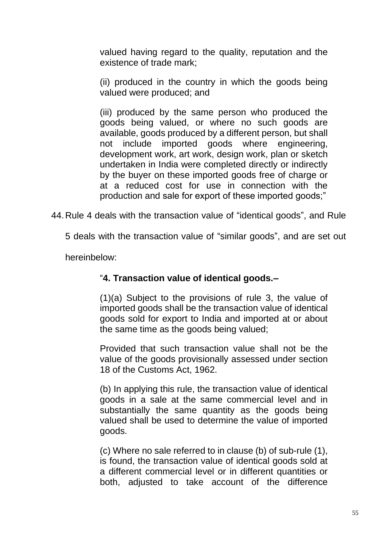valued having regard to the quality, reputation and the existence of trade mark;

(ii) produced in the country in which the goods being valued were produced; and

(iii) produced by the same person who produced the goods being valued, or where no such goods are available, goods produced by a different person, but shall not include imported goods where engineering, development work, art work, design work, plan or sketch undertaken in India were completed directly or indirectly by the buyer on these imported goods free of charge or at a reduced cost for use in connection with the production and sale for export of these imported goods;"

44.Rule 4 deals with the transaction value of "identical goods", and Rule

5 deals with the transaction value of "similar goods", and are set out

hereinbelow:

# "**4. Transaction value of identical goods.–**

(1)(a) Subject to the provisions of rule 3, the value of imported goods shall be the transaction value of identical goods sold for export to India and imported at or about the same time as the goods being valued;

Provided that such transaction value shall not be the value of the goods provisionally assessed under section 18 of the Customs Act, 1962.

(b) In applying this rule, the transaction value of identical goods in a sale at the same commercial level and in substantially the same quantity as the goods being valued shall be used to determine the value of imported goods.

(c) Where no sale referred to in clause (b) of sub-rule (1), is found, the transaction value of identical goods sold at a different commercial level or in different quantities or both, adjusted to take account of the difference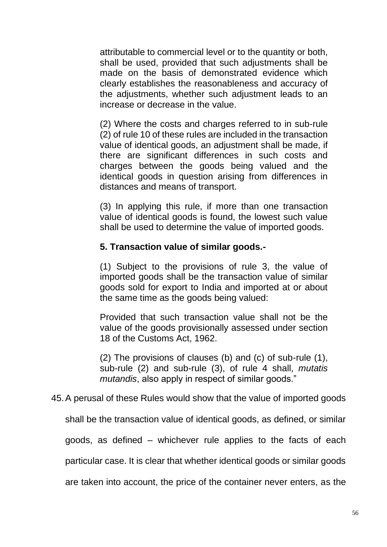attributable to commercial level or to the quantity or both, shall be used, provided that such adjustments shall be made on the basis of demonstrated evidence which clearly establishes the reasonableness and accuracy of the adjustments, whether such adjustment leads to an increase or decrease in the value.

(2) Where the costs and charges referred to in sub-rule (2) of rule 10 of these rules are included in the transaction value of identical goods, an adjustment shall be made, if there are significant differences in such costs and charges between the goods being valued and the identical goods in question arising from differences in distances and means of transport.

(3) In applying this rule, if more than one transaction value of identical goods is found, the lowest such value shall be used to determine the value of imported goods.

## **5. Transaction value of similar goods.-**

(1) Subject to the provisions of rule 3, the value of imported goods shall be the transaction value of similar goods sold for export to India and imported at or about the same time as the goods being valued:

Provided that such transaction value shall not be the value of the goods provisionally assessed under section 18 of the Customs Act, 1962.

(2) The provisions of clauses (b) and (c) of sub-rule (1), sub-rule (2) and sub-rule (3), of rule 4 shall, *mutatis mutandis*, also apply in respect of similar goods."

### 45.A perusal of these Rules would show that the value of imported goods

shall be the transaction value of identical goods, as defined, or similar

goods, as defined – whichever rule applies to the facts of each

particular case. It is clear that whether identical goods or similar goods

are taken into account, the price of the container never enters, as the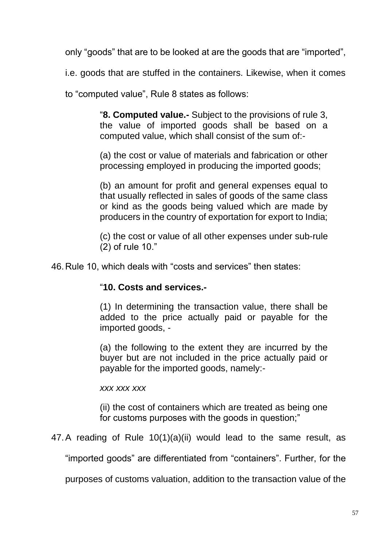only "goods" that are to be looked at are the goods that are "imported",

i.e. goods that are stuffed in the containers. Likewise, when it comes

to "computed value", Rule 8 states as follows:

"**8. Computed value.-** Subject to the provisions of rule 3, the value of imported goods shall be based on a computed value, which shall consist of the sum of:-

(a) the cost or value of materials and fabrication or other processing employed in producing the imported goods;

(b) an amount for profit and general expenses equal to that usually reflected in sales of goods of the same class or kind as the goods being valued which are made by producers in the country of exportation for export to India;

(c) the cost or value of all other expenses under sub-rule (2) of rule 10."

46.Rule 10, which deals with "costs and services" then states:

### "**10. Costs and services.-**

(1) In determining the transaction value, there shall be added to the price actually paid or payable for the imported goods, -

(a) the following to the extent they are incurred by the buyer but are not included in the price actually paid or payable for the imported goods, namely:-

*xxx xxx xxx*

(ii) the cost of containers which are treated as being one for customs purposes with the goods in question;"

47.A reading of Rule 10(1)(a)(ii) would lead to the same result, as

"imported goods" are differentiated from "containers". Further, for the

purposes of customs valuation, addition to the transaction value of the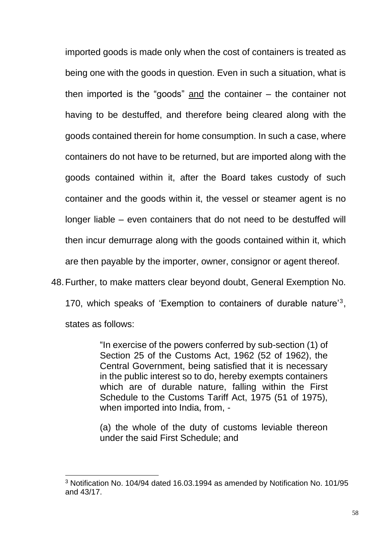imported goods is made only when the cost of containers is treated as being one with the goods in question. Even in such a situation, what is then imported is the "goods" and the container – the container not having to be destuffed, and therefore being cleared along with the goods contained therein for home consumption. In such a case, where containers do not have to be returned, but are imported along with the goods contained within it, after the Board takes custody of such container and the goods within it, the vessel or steamer agent is no longer liable – even containers that do not need to be destuffed will then incur demurrage along with the goods contained within it, which are then payable by the importer, owner, consignor or agent thereof.

48.Further, to make matters clear beyond doubt, General Exemption No.

170, which speaks of 'Exemption to containers of durable nature'<sup>3</sup> , states as follows:

> "In exercise of the powers conferred by sub-section (1) of Section 25 of the Customs Act, 1962 (52 of 1962), the Central Government, being satisfied that it is necessary in the public interest so to do, hereby exempts containers which are of durable nature, falling within the First Schedule to the Customs Tariff Act, 1975 (51 of 1975), when imported into India, from, -

> (a) the whole of the duty of customs leviable thereon under the said First Schedule; and

<sup>3</sup> Notification No. 104/94 dated 16.03.1994 as amended by Notification No. 101/95 and 43/17.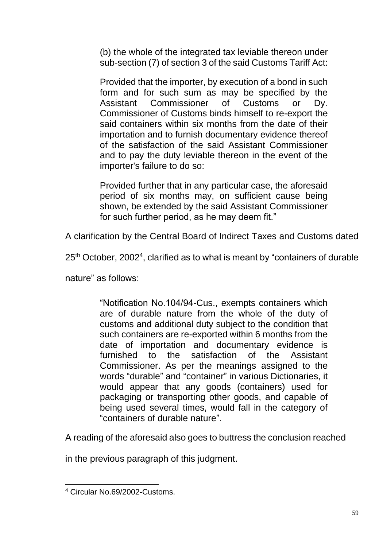(b) the whole of the integrated tax leviable thereon under sub-section (7) of section 3 of the said Customs Tariff Act:

Provided that the importer, by execution of a bond in such form and for such sum as may be specified by the Assistant Commissioner of Customs or Dy. Commissioner of Customs binds himself to re-export the said containers within six months from the date of their importation and to furnish documentary evidence thereof of the satisfaction of the said Assistant Commissioner and to pay the duty leviable thereon in the event of the importer's failure to do so:

Provided further that in any particular case, the aforesaid period of six months may, on sufficient cause being shown, be extended by the said Assistant Commissioner for such further period, as he may deem fit."

A clarification by the Central Board of Indirect Taxes and Customs dated

 $25<sup>th</sup>$  October, 2002<sup>4</sup>, clarified as to what is meant by "containers of durable

nature" as follows:

"Notification No.104/94-Cus., exempts containers which are of durable nature from the whole of the duty of customs and additional duty subject to the condition that such containers are re-exported within 6 months from the date of importation and documentary evidence is furnished to the satisfaction of the Assistant Commissioner. As per the meanings assigned to the words "durable" and "container" in various Dictionaries, it would appear that any goods (containers) used for packaging or transporting other goods, and capable of being used several times, would fall in the category of "containers of durable nature".

A reading of the aforesaid also goes to buttress the conclusion reached

in the previous paragraph of this judgment.

<sup>4</sup> Circular No.69/2002-Customs.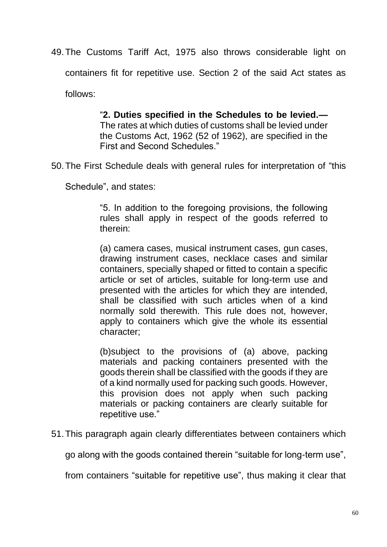49.The Customs Tariff Act, 1975 also throws considerable light on

containers fit for repetitive use. Section 2 of the said Act states as

follows:

"**2. Duties specified in the Schedules to be levied.—** The rates at which duties of customs shall be levied under the Customs Act, 1962 (52 of 1962), are specified in the First and Second Schedules."

50.The First Schedule deals with general rules for interpretation of "this

Schedule", and states:

"5. In addition to the foregoing provisions, the following rules shall apply in respect of the goods referred to therein:

(a) camera cases, musical instrument cases, gun cases, drawing instrument cases, necklace cases and similar containers, specially shaped or fitted to contain a specific article or set of articles, suitable for long-term use and presented with the articles for which they are intended, shall be classified with such articles when of a kind normally sold therewith. This rule does not, however, apply to containers which give the whole its essential character;

(b)subject to the provisions of (a) above, packing materials and packing containers presented with the goods therein shall be classified with the goods if they are of a kind normally used for packing such goods. However, this provision does not apply when such packing materials or packing containers are clearly suitable for repetitive use."

51.This paragraph again clearly differentiates between containers which

go along with the goods contained therein "suitable for long-term use",

from containers "suitable for repetitive use", thus making it clear that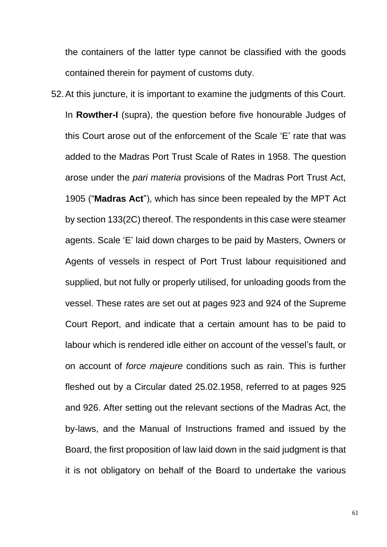the containers of the latter type cannot be classified with the goods contained therein for payment of customs duty.

52.At this juncture, it is important to examine the judgments of this Court. In **Rowther-I** (supra), the question before five honourable Judges of this Court arose out of the enforcement of the Scale 'E' rate that was added to the Madras Port Trust Scale of Rates in 1958. The question arose under the *pari materia* provisions of the Madras Port Trust Act, 1905 ("**Madras Act**"), which has since been repealed by the MPT Act by section 133(2C) thereof. The respondents in this case were steamer agents. Scale 'E' laid down charges to be paid by Masters, Owners or Agents of vessels in respect of Port Trust labour requisitioned and supplied, but not fully or properly utilised, for unloading goods from the vessel. These rates are set out at pages 923 and 924 of the Supreme Court Report, and indicate that a certain amount has to be paid to labour which is rendered idle either on account of the vessel's fault, or on account of *force majeure* conditions such as rain. This is further fleshed out by a Circular dated 25.02.1958, referred to at pages 925 and 926. After setting out the relevant sections of the Madras Act, the by-laws, and the Manual of Instructions framed and issued by the Board, the first proposition of law laid down in the said judgment is that it is not obligatory on behalf of the Board to undertake the various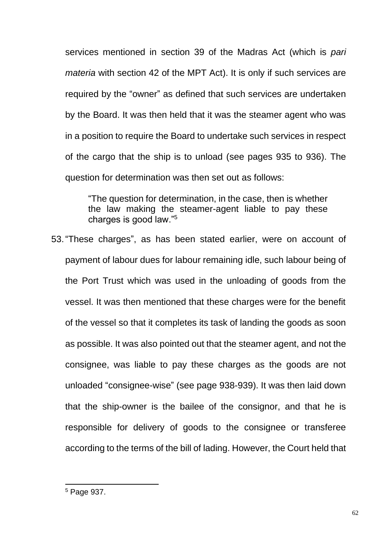services mentioned in section 39 of the Madras Act (which is *pari materia* with section 42 of the MPT Act). It is only if such services are required by the "owner" as defined that such services are undertaken by the Board. It was then held that it was the steamer agent who was in a position to require the Board to undertake such services in respect of the cargo that the ship is to unload (see pages 935 to 936). The question for determination was then set out as follows:

"The question for determination, in the case, then is whether the law making the steamer-agent liable to pay these charges is good law."<sup>5</sup>

53."These charges", as has been stated earlier, were on account of payment of labour dues for labour remaining idle, such labour being of the Port Trust which was used in the unloading of goods from the vessel. It was then mentioned that these charges were for the benefit of the vessel so that it completes its task of landing the goods as soon as possible. It was also pointed out that the steamer agent, and not the consignee, was liable to pay these charges as the goods are not unloaded "consignee-wise" (see page 938-939). It was then laid down that the ship-owner is the bailee of the consignor, and that he is responsible for delivery of goods to the consignee or transferee according to the terms of the bill of lading. However, the Court held that

<sup>5</sup> Page 937.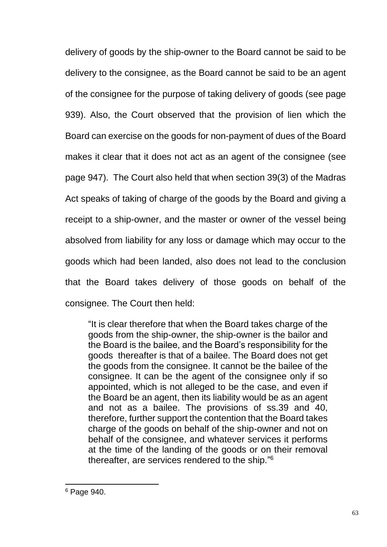delivery of goods by the ship-owner to the Board cannot be said to be delivery to the consignee, as the Board cannot be said to be an agent of the consignee for the purpose of taking delivery of goods (see page 939). Also, the Court observed that the provision of lien which the Board can exercise on the goods for non-payment of dues of the Board makes it clear that it does not act as an agent of the consignee (see page 947). The Court also held that when section 39(3) of the Madras Act speaks of taking of charge of the goods by the Board and giving a receipt to a ship-owner, and the master or owner of the vessel being absolved from liability for any loss or damage which may occur to the goods which had been landed, also does not lead to the conclusion that the Board takes delivery of those goods on behalf of the consignee. The Court then held:

"It is clear therefore that when the Board takes charge of the goods from the ship-owner, the ship-owner is the bailor and the Board is the bailee, and the Board's responsibility for the goods thereafter is that of a bailee. The Board does not get the goods from the consignee. It cannot be the bailee of the consignee. It can be the agent of the consignee only if so appointed, which is not alleged to be the case, and even if the Board be an agent, then its liability would be as an agent and not as a bailee. The provisions of ss.39 and 40, therefore, further support the contention that the Board takes charge of the goods on behalf of the ship-owner and not on behalf of the consignee, and whatever services it performs at the time of the landing of the goods or on their removal thereafter, are services rendered to the ship."<sup>6</sup>

<sup>6</sup> Page 940.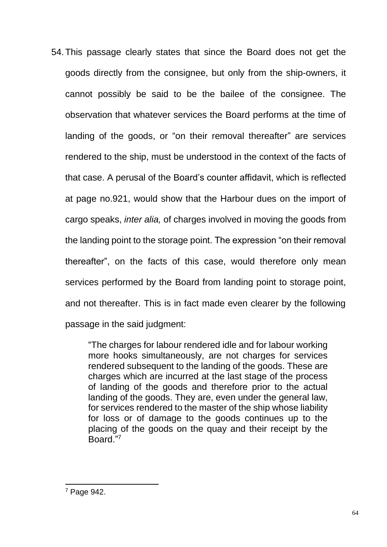54.This passage clearly states that since the Board does not get the goods directly from the consignee, but only from the ship-owners, it cannot possibly be said to be the bailee of the consignee. The observation that whatever services the Board performs at the time of landing of the goods, or "on their removal thereafter" are services rendered to the ship, must be understood in the context of the facts of that case. A perusal of the Board's counter affidavit, which is reflected at page no.921, would show that the Harbour dues on the import of cargo speaks, *inter alia,* of charges involved in moving the goods from the landing point to the storage point. The expression "on their removal thereafter", on the facts of this case, would therefore only mean services performed by the Board from landing point to storage point, and not thereafter. This is in fact made even clearer by the following passage in the said judgment:

> "The charges for labour rendered idle and for labour working more hooks simultaneously, are not charges for services rendered subsequent to the landing of the goods. These are charges which are incurred at the last stage of the process of landing of the goods and therefore prior to the actual landing of the goods. They are, even under the general law, for services rendered to the master of the ship whose liability for loss or of damage to the goods continues up to the placing of the goods on the quay and their receipt by the Board." 7

<sup>7</sup> Page 942.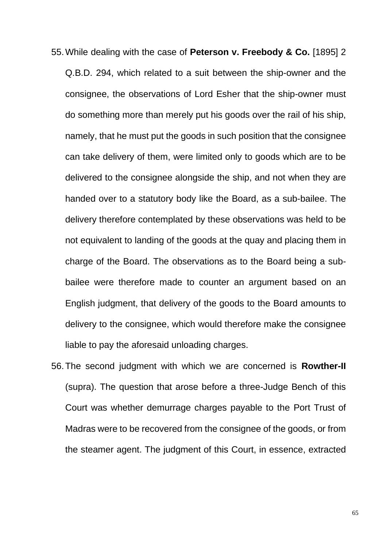- 55.While dealing with the case of **Peterson v. Freebody & Co.** [1895] 2 Q.B.D. 294, which related to a suit between the ship-owner and the consignee, the observations of Lord Esher that the ship-owner must do something more than merely put his goods over the rail of his ship, namely, that he must put the goods in such position that the consignee can take delivery of them, were limited only to goods which are to be delivered to the consignee alongside the ship, and not when they are handed over to a statutory body like the Board, as a sub-bailee. The delivery therefore contemplated by these observations was held to be not equivalent to landing of the goods at the quay and placing them in charge of the Board. The observations as to the Board being a subbailee were therefore made to counter an argument based on an English judgment, that delivery of the goods to the Board amounts to delivery to the consignee, which would therefore make the consignee liable to pay the aforesaid unloading charges.
- 56.The second judgment with which we are concerned is **Rowther-II** (supra). The question that arose before a three-Judge Bench of this Court was whether demurrage charges payable to the Port Trust of Madras were to be recovered from the consignee of the goods, or from the steamer agent. The judgment of this Court, in essence, extracted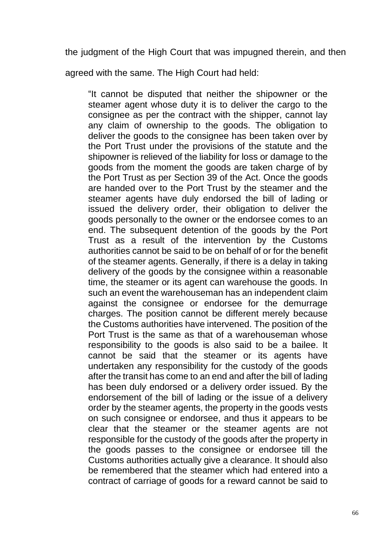the judgment of the High Court that was impugned therein, and then

agreed with the same. The High Court had held:

"It cannot be disputed that neither the shipowner or the steamer agent whose duty it is to deliver the cargo to the consignee as per the contract with the shipper, cannot lay any claim of ownership to the goods. The obligation to deliver the goods to the consignee has been taken over by the Port Trust under the provisions of the statute and the shipowner is relieved of the liability for loss or damage to the goods from the moment the goods are taken charge of by the Port Trust as per Section 39 of the Act. Once the goods are handed over to the Port Trust by the steamer and the steamer agents have duly endorsed the bill of lading or issued the delivery order, their obligation to deliver the goods personally to the owner or the endorsee comes to an end. The subsequent detention of the goods by the Port Trust as a result of the intervention by the Customs authorities cannot be said to be on behalf of or for the benefit of the steamer agents. Generally, if there is a delay in taking delivery of the goods by the consignee within a reasonable time, the steamer or its agent can warehouse the goods. In such an event the warehouseman has an independent claim against the consignee or endorsee for the demurrage charges. The position cannot be different merely because the Customs authorities have intervened. The position of the Port Trust is the same as that of a warehouseman whose responsibility to the goods is also said to be a bailee. It cannot be said that the steamer or its agents have undertaken any responsibility for the custody of the goods after the transit has come to an end and after the bill of lading has been duly endorsed or a delivery order issued. By the endorsement of the bill of lading or the issue of a delivery order by the steamer agents, the property in the goods vests on such consignee or endorsee, and thus it appears to be clear that the steamer or the steamer agents are not responsible for the custody of the goods after the property in the goods passes to the consignee or endorsee till the Customs authorities actually give a clearance. It should also be remembered that the steamer which had entered into a contract of carriage of goods for a reward cannot be said to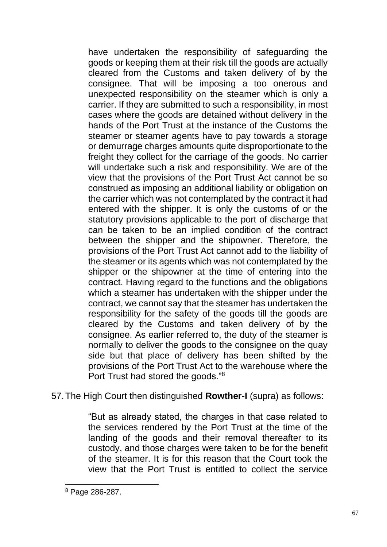have undertaken the responsibility of safeguarding the goods or keeping them at their risk till the goods are actually cleared from the Customs and taken delivery of by the consignee. That will be imposing a too onerous and unexpected responsibility on the steamer which is only a carrier. If they are submitted to such a responsibility, in most cases where the goods are detained without delivery in the hands of the Port Trust at the instance of the Customs the steamer or steamer agents have to pay towards a storage or demurrage charges amounts quite disproportionate to the freight they collect for the carriage of the goods. No carrier will undertake such a risk and responsibility. We are of the view that the provisions of the Port Trust Act cannot be so construed as imposing an additional liability or obligation on the carrier which was not contemplated by the contract it had entered with the shipper. It is only the customs of or the statutory provisions applicable to the port of discharge that can be taken to be an implied condition of the contract between the shipper and the shipowner. Therefore, the provisions of the Port Trust Act cannot add to the liability of the steamer or its agents which was not contemplated by the shipper or the shipowner at the time of entering into the contract. Having regard to the functions and the obligations which a steamer has undertaken with the shipper under the contract, we cannot say that the steamer has undertaken the responsibility for the safety of the goods till the goods are cleared by the Customs and taken delivery of by the consignee. As earlier referred to, the duty of the steamer is normally to deliver the goods to the consignee on the quay side but that place of delivery has been shifted by the provisions of the Port Trust Act to the warehouse where the Port Trust had stored the goods."<sup>8</sup>

57.The High Court then distinguished **Rowther-I** (supra) as follows:

"But as already stated, the charges in that case related to the services rendered by the Port Trust at the time of the landing of the goods and their removal thereafter to its custody, and those charges were taken to be for the benefit of the steamer. It is for this reason that the Court took the view that the Port Trust is entitled to collect the service

<sup>8</sup> Page 286-287.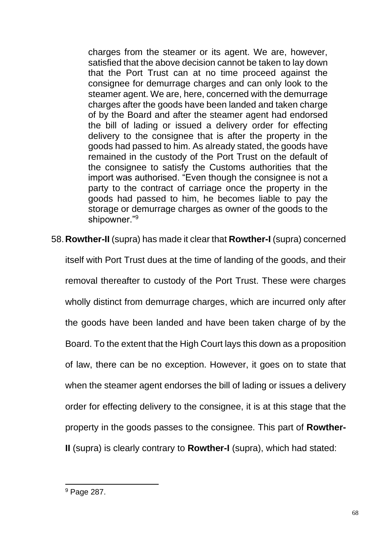charges from the steamer or its agent. We are, however, satisfied that the above decision cannot be taken to lay down that the Port Trust can at no time proceed against the consignee for demurrage charges and can only look to the steamer agent. We are, here, concerned with the demurrage charges after the goods have been landed and taken charge of by the Board and after the steamer agent had endorsed the bill of lading or issued a delivery order for effecting delivery to the consignee that is after the property in the goods had passed to him. As already stated, the goods have remained in the custody of the Port Trust on the default of the consignee to satisfy the Customs authorities that the import was authorised. "Even though the consignee is not a party to the contract of carriage once the property in the goods had passed to him, he becomes liable to pay the storage or demurrage charges as owner of the goods to the shipowner."<sup>9</sup>

58.**Rowther-II** (supra) has made it clear that **Rowther-I** (supra) concerned

itself with Port Trust dues at the time of landing of the goods, and their removal thereafter to custody of the Port Trust. These were charges wholly distinct from demurrage charges, which are incurred only after the goods have been landed and have been taken charge of by the Board. To the extent that the High Court lays this down as a proposition of law, there can be no exception. However, it goes on to state that when the steamer agent endorses the bill of lading or issues a delivery order for effecting delivery to the consignee, it is at this stage that the property in the goods passes to the consignee. This part of **Rowther-II** (supra) is clearly contrary to **Rowther-I** (supra), which had stated:

<sup>&</sup>lt;sup>9</sup> Page 287.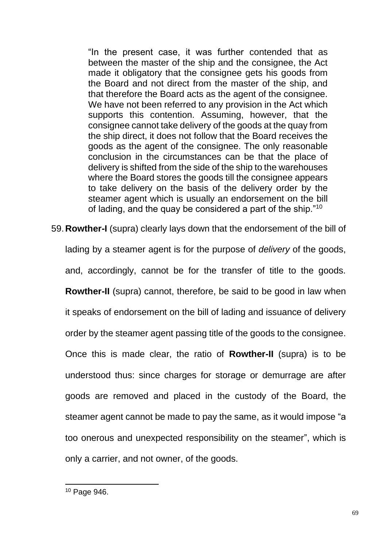"In the present case, it was further contended that as between the master of the ship and the consignee, the Act made it obligatory that the consignee gets his goods from the Board and not direct from the master of the ship, and that therefore the Board acts as the agent of the consignee. We have not been referred to any provision in the Act which supports this contention. Assuming, however, that the consignee cannot take delivery of the goods at the quay from the ship direct, it does not follow that the Board receives the goods as the agent of the consignee. The only reasonable conclusion in the circumstances can be that the place of delivery is shifted from the side of the ship to the warehouses where the Board stores the goods till the consignee appears to take delivery on the basis of the delivery order by the steamer agent which is usually an endorsement on the bill of lading, and the quay be considered a part of the ship."<sup>10</sup>

59.**Rowther-I** (supra) clearly lays down that the endorsement of the bill of lading by a steamer agent is for the purpose of *delivery* of the goods, and, accordingly, cannot be for the transfer of title to the goods. **Rowther-II** (supra) cannot, therefore, be said to be good in law when it speaks of endorsement on the bill of lading and issuance of delivery order by the steamer agent passing title of the goods to the consignee. Once this is made clear, the ratio of **Rowther-II** (supra) is to be understood thus: since charges for storage or demurrage are after goods are removed and placed in the custody of the Board, the steamer agent cannot be made to pay the same, as it would impose "a too onerous and unexpected responsibility on the steamer", which is only a carrier, and not owner, of the goods.

<sup>10</sup> Page 946.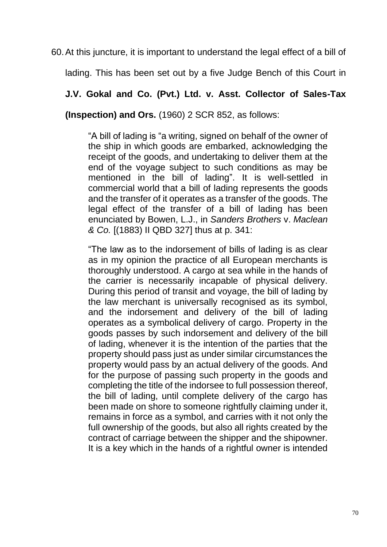60.At this juncture, it is important to understand the legal effect of a bill of

lading. This has been set out by a five Judge Bench of this Court in

**J.V. Gokal and Co. (Pvt.) Ltd. v. Asst. Collector of Sales-Tax** 

**(Inspection) and Ors.** (1960) 2 SCR 852, as follows:

"A bill of lading is "a writing, signed on behalf of the owner of the ship in which goods are embarked, acknowledging the receipt of the goods, and undertaking to deliver them at the end of the voyage subject to such conditions as may be mentioned in the bill of lading". It is well-settled in commercial world that a bill of lading represents the goods and the transfer of it operates as a transfer of the goods. The legal effect of the transfer of a bill of lading has been enunciated by Bowen, L.J., in *Sanders Brothers* v. *Maclean & Co.* [(1883) II QBD 327] thus at p. 341:

"The law as to the indorsement of bills of lading is as clear as in my opinion the practice of all European merchants is thoroughly understood. A cargo at sea while in the hands of the carrier is necessarily incapable of physical delivery. During this period of transit and voyage, the bill of lading by the law merchant is universally recognised as its symbol, and the indorsement and delivery of the bill of lading operates as a symbolical delivery of cargo. Property in the goods passes by such indorsement and delivery of the bill of lading, whenever it is the intention of the parties that the property should pass just as under similar circumstances the property would pass by an actual delivery of the goods. And for the purpose of passing such property in the goods and completing the title of the indorsee to full possession thereof, the bill of lading, until complete delivery of the cargo has been made on shore to someone rightfully claiming under it, remains in force as a symbol, and carries with it not only the full ownership of the goods, but also all rights created by the contract of carriage between the shipper and the shipowner. It is a key which in the hands of a rightful owner is intended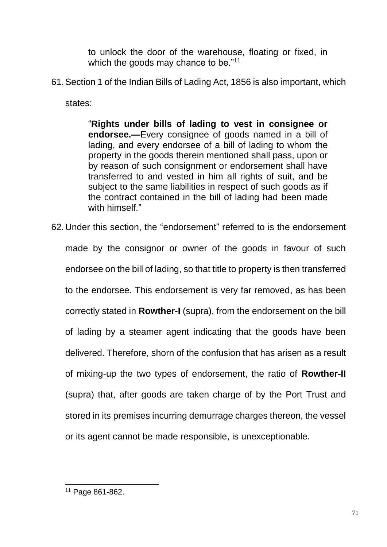to unlock the door of the warehouse, floating or fixed, in which the goods may chance to be."<sup>11</sup>

61.Section 1 of the Indian Bills of Lading Act, 1856 is also important, which

states:

"**Rights under bills of lading to vest in consignee or endorsee.—**Every consignee of goods named in a bill of lading, and every endorsee of a bill of lading to whom the property in the goods therein mentioned shall pass, upon or by reason of such consignment or endorsement shall have transferred to and vested in him all rights of suit, and be subject to the same liabilities in respect of such goods as if the contract contained in the bill of lading had been made with himself."

62.Under this section, the "endorsement" referred to is the endorsement made by the consignor or owner of the goods in favour of such endorsee on the bill of lading, so that title to property is then transferred to the endorsee. This endorsement is very far removed, as has been correctly stated in **Rowther-I** (supra), from the endorsement on the bill of lading by a steamer agent indicating that the goods have been delivered. Therefore, shorn of the confusion that has arisen as a result of mixing-up the two types of endorsement, the ratio of **Rowther-II** (supra) that, after goods are taken charge of by the Port Trust and stored in its premises incurring demurrage charges thereon, the vessel or its agent cannot be made responsible, is unexceptionable.

<sup>11</sup> Page 861-862.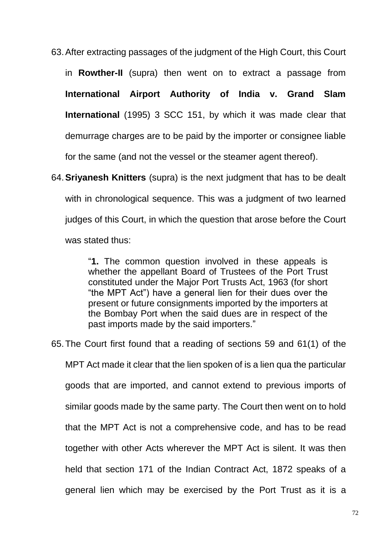63.After extracting passages of the judgment of the High Court, this Court in **Rowther-II** (supra) then went on to extract a passage from **International Airport Authority of India v. Grand Slam International** (1995) 3 SCC 151, by which it was made clear that demurrage charges are to be paid by the importer or consignee liable for the same (and not the vessel or the steamer agent thereof).

64.**Sriyanesh Knitters** (supra) is the next judgment that has to be dealt with in chronological sequence. This was a judgment of two learned judges of this Court, in which the question that arose before the Court was stated thus:

> "**1.** The common question involved in these appeals is whether the appellant Board of Trustees of the Port Trust constituted under the Major Port Trusts Act, 1963 (for short "the MPT Act") have a general lien for their dues over the present or future consignments imported by the importers at the Bombay Port when the said dues are in respect of the past imports made by the said importers."

65.The Court first found that a reading of sections 59 and 61(1) of the MPT Act made it clear that the lien spoken of is a lien qua the particular goods that are imported, and cannot extend to previous imports of similar goods made by the same party. The Court then went on to hold that the MPT Act is not a comprehensive code, and has to be read together with other Acts wherever the MPT Act is silent. It was then held that section 171 of the Indian Contract Act, 1872 speaks of a general lien which may be exercised by the Port Trust as it is a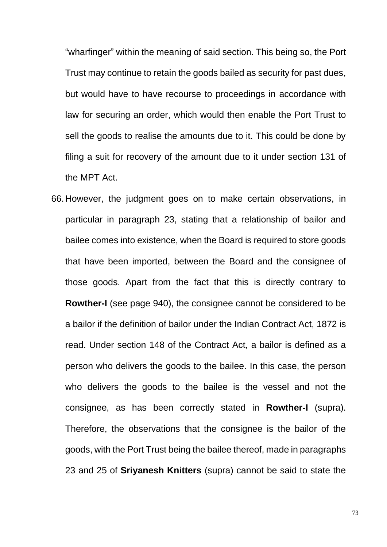"wharfinger" within the meaning of said section. This being so, the Port Trust may continue to retain the goods bailed as security for past dues, but would have to have recourse to proceedings in accordance with law for securing an order, which would then enable the Port Trust to sell the goods to realise the amounts due to it. This could be done by filing a suit for recovery of the amount due to it under section 131 of the MPT Act.

66.However, the judgment goes on to make certain observations, in particular in paragraph 23, stating that a relationship of bailor and bailee comes into existence, when the Board is required to store goods that have been imported, between the Board and the consignee of those goods. Apart from the fact that this is directly contrary to **Rowther-I** (see page 940), the consignee cannot be considered to be a bailor if the definition of bailor under the Indian Contract Act, 1872 is read. Under section 148 of the Contract Act, a bailor is defined as a person who delivers the goods to the bailee. In this case, the person who delivers the goods to the bailee is the vessel and not the consignee, as has been correctly stated in **Rowther-I** (supra). Therefore, the observations that the consignee is the bailor of the goods, with the Port Trust being the bailee thereof, made in paragraphs 23 and 25 of **Sriyanesh Knitters** (supra) cannot be said to state the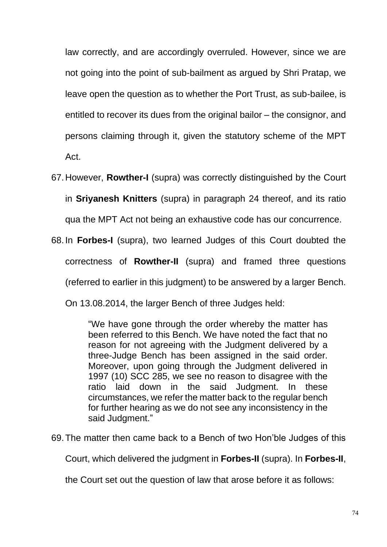law correctly, and are accordingly overruled. However, since we are not going into the point of sub-bailment as argued by Shri Pratap, we leave open the question as to whether the Port Trust, as sub-bailee, is entitled to recover its dues from the original bailor – the consignor, and persons claiming through it, given the statutory scheme of the MPT Act.

- 67.However, **Rowther-I** (supra) was correctly distinguished by the Court in **Sriyanesh Knitters** (supra) in paragraph 24 thereof, and its ratio qua the MPT Act not being an exhaustive code has our concurrence.
- 68.In **Forbes-I** (supra), two learned Judges of this Court doubted the correctness of **Rowther-II** (supra) and framed three questions (referred to earlier in this judgment) to be answered by a larger Bench. On 13.08.2014, the larger Bench of three Judges held:

"We have gone through the order whereby the matter has been referred to this Bench. We have noted the fact that no reason for not agreeing with the Judgment delivered by a three-Judge Bench has been assigned in the said order. Moreover, upon going through the Judgment delivered in 1997 (10) SCC 285, we see no reason to disagree with the ratio laid down in the said Judgment. In these circumstances, we refer the matter back to the regular bench for further hearing as we do not see any inconsistency in the said Judgment."

69.The matter then came back to a Bench of two Hon'ble Judges of this

Court, which delivered the judgment in **Forbes-II** (supra). In **Forbes-II**,

the Court set out the question of law that arose before it as follows: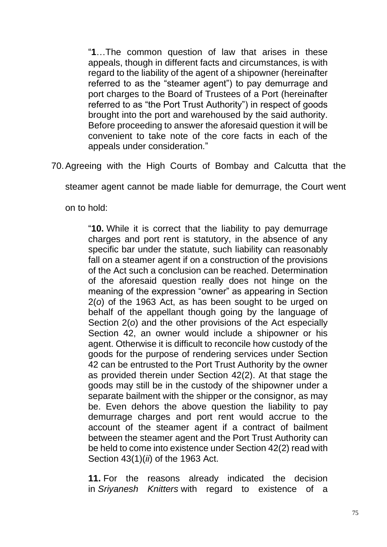"**1**…The common question of law that arises in these appeals, though in different facts and circumstances, is with regard to the liability of the agent of a shipowner (hereinafter referred to as the "steamer agent") to pay demurrage and port charges to the Board of Trustees of a Port (hereinafter referred to as "the Port Trust Authority") in respect of goods brought into the port and warehoused by the said authority. Before proceeding to answer the aforesaid question it will be convenient to take note of the core facts in each of the appeals under consideration."

70.Agreeing with the High Courts of Bombay and Calcutta that the

steamer agent cannot be made liable for demurrage, the Court went

on to hold:

"**10.** While it is correct that the liability to pay demurrage charges and port rent is statutory, in the absence of any specific bar under the statute, such liability can reasonably fall on a steamer agent if on a construction of the provisions of the Act such a conclusion can be reached. Determination of the aforesaid question really does not hinge on the meaning of the expression "owner" as appearing in Section 2(*o*) of the 1963 Act, as has been sought to be urged on behalf of the appellant though going by the language of Section 2(*o*) and the other provisions of the Act especially Section 42, an owner would include a shipowner or his agent. Otherwise it is difficult to reconcile how custody of the goods for the purpose of rendering services under Section 42 can be entrusted to the Port Trust Authority by the owner as provided therein under Section 42(2). At that stage the goods may still be in the custody of the shipowner under a separate bailment with the shipper or the consignor, as may be. Even dehors the above question the liability to pay demurrage charges and port rent would accrue to the account of the steamer agent if a contract of bailment between the steamer agent and the Port Trust Authority can be held to come into existence under Section 42(2) read with Section 43(1)(*ii*) of the 1963 Act.

**11.** For the reasons already indicated the decision in *Sriyanesh Knitters* with regard to existence of a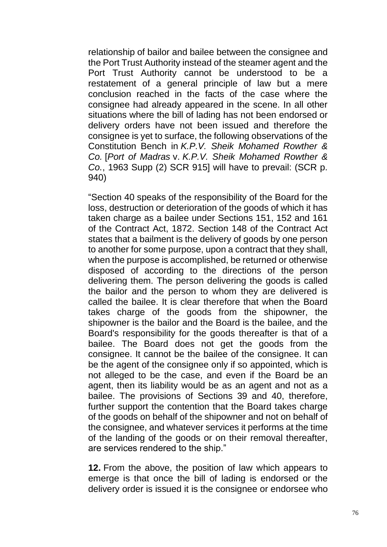relationship of bailor and bailee between the consignee and the Port Trust Authority instead of the steamer agent and the Port Trust Authority cannot be understood to be a restatement of a general principle of law but a mere conclusion reached in the facts of the case where the consignee had already appeared in the scene. In all other situations where the bill of lading has not been endorsed or delivery orders have not been issued and therefore the consignee is yet to surface, the following observations of the Constitution Bench in *K.P.V. Sheik Mohamed Rowther & Co.* [*Port of Madras* v. *K.P.V. Sheik Mohamed Rowther & Co.*, 1963 Supp (2) SCR 915] will have to prevail: (SCR p. 940)

"Section 40 speaks of the responsibility of the Board for the loss, destruction or deterioration of the goods of which it has taken charge as a bailee under Sections 151, 152 and 161 of the Contract Act, 1872. Section 148 of the Contract Act states that a bailment is the delivery of goods by one person to another for some purpose, upon a contract that they shall, when the purpose is accomplished, be returned or otherwise disposed of according to the directions of the person delivering them. The person delivering the goods is called the bailor and the person to whom they are delivered is called the bailee. It is clear therefore that when the Board takes charge of the goods from the shipowner, the shipowner is the bailor and the Board is the bailee, and the Board's responsibility for the goods thereafter is that of a bailee. The Board does not get the goods from the consignee. It cannot be the bailee of the consignee. It can be the agent of the consignee only if so appointed, which is not alleged to be the case, and even if the Board be an agent, then its liability would be as an agent and not as a bailee. The provisions of Sections 39 and 40, therefore, further support the contention that the Board takes charge of the goods on behalf of the shipowner and not on behalf of the consignee, and whatever services it performs at the time of the landing of the goods or on their removal thereafter, are services rendered to the ship."

**12.** From the above, the position of law which appears to emerge is that once the bill of lading is endorsed or the delivery order is issued it is the consignee or endorsee who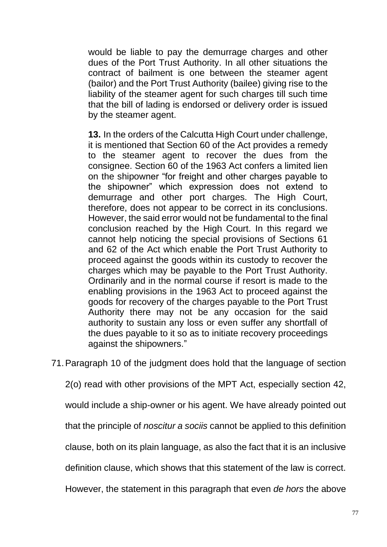would be liable to pay the demurrage charges and other dues of the Port Trust Authority. In all other situations the contract of bailment is one between the steamer agent (bailor) and the Port Trust Authority (bailee) giving rise to the liability of the steamer agent for such charges till such time that the bill of lading is endorsed or delivery order is issued by the steamer agent.

**13.** In the orders of the Calcutta High Court under challenge, it is mentioned that Section 60 of the Act provides a remedy to the steamer agent to recover the dues from the consignee. Section 60 of the 1963 Act confers a limited lien on the shipowner "for freight and other charges payable to the shipowner" which expression does not extend to demurrage and other port charges. The High Court, therefore, does not appear to be correct in its conclusions. However, the said error would not be fundamental to the final conclusion reached by the High Court. In this regard we cannot help noticing the special provisions of Sections 61 and 62 of the Act which enable the Port Trust Authority to proceed against the goods within its custody to recover the charges which may be payable to the Port Trust Authority. Ordinarily and in the normal course if resort is made to the enabling provisions in the 1963 Act to proceed against the goods for recovery of the charges payable to the Port Trust Authority there may not be any occasion for the said authority to sustain any loss or even suffer any shortfall of the dues payable to it so as to initiate recovery proceedings against the shipowners."

71.Paragraph 10 of the judgment does hold that the language of section

2(o) read with other provisions of the MPT Act, especially section 42,

would include a ship-owner or his agent. We have already pointed out

that the principle of *noscitur a sociis* cannot be applied to this definition

clause, both on its plain language, as also the fact that it is an inclusive

definition clause, which shows that this statement of the law is correct.

However, the statement in this paragraph that even *de hors* the above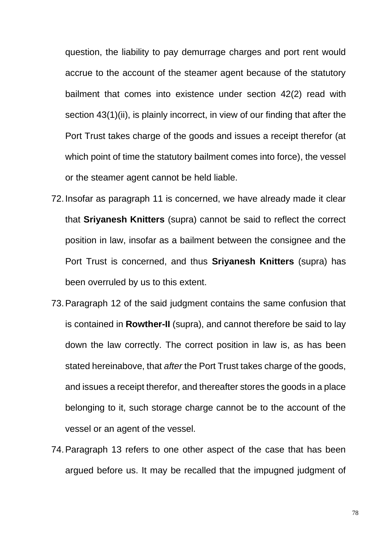question, the liability to pay demurrage charges and port rent would accrue to the account of the steamer agent because of the statutory bailment that comes into existence under section 42(2) read with section 43(1)(ii), is plainly incorrect, in view of our finding that after the Port Trust takes charge of the goods and issues a receipt therefor (at which point of time the statutory bailment comes into force), the vessel or the steamer agent cannot be held liable.

- 72.Insofar as paragraph 11 is concerned, we have already made it clear that **Sriyanesh Knitters** (supra) cannot be said to reflect the correct position in law, insofar as a bailment between the consignee and the Port Trust is concerned, and thus **Sriyanesh Knitters** (supra) has been overruled by us to this extent.
- 73.Paragraph 12 of the said judgment contains the same confusion that is contained in **Rowther-II** (supra), and cannot therefore be said to lay down the law correctly. The correct position in law is, as has been stated hereinabove, that *after* the Port Trust takes charge of the goods, and issues a receipt therefor, and thereafter stores the goods in a place belonging to it, such storage charge cannot be to the account of the vessel or an agent of the vessel.
- 74.Paragraph 13 refers to one other aspect of the case that has been argued before us. It may be recalled that the impugned judgment of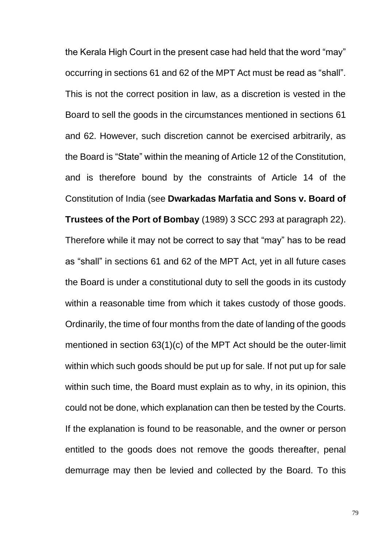the Kerala High Court in the present case had held that the word "may" occurring in sections 61 and 62 of the MPT Act must be read as "shall". This is not the correct position in law, as a discretion is vested in the Board to sell the goods in the circumstances mentioned in sections 61 and 62. However, such discretion cannot be exercised arbitrarily, as the Board is "State" within the meaning of Article 12 of the Constitution, and is therefore bound by the constraints of Article 14 of the Constitution of India (see **Dwarkadas Marfatia and Sons v. Board of Trustees of the Port of Bombay** (1989) 3 SCC 293 at paragraph 22). Therefore while it may not be correct to say that "may" has to be read as "shall" in sections 61 and 62 of the MPT Act, yet in all future cases the Board is under a constitutional duty to sell the goods in its custody within a reasonable time from which it takes custody of those goods. Ordinarily, the time of four months from the date of landing of the goods mentioned in section 63(1)(c) of the MPT Act should be the outer-limit within which such goods should be put up for sale. If not put up for sale within such time, the Board must explain as to why, in its opinion, this could not be done, which explanation can then be tested by the Courts. If the explanation is found to be reasonable, and the owner or person entitled to the goods does not remove the goods thereafter, penal demurrage may then be levied and collected by the Board. To this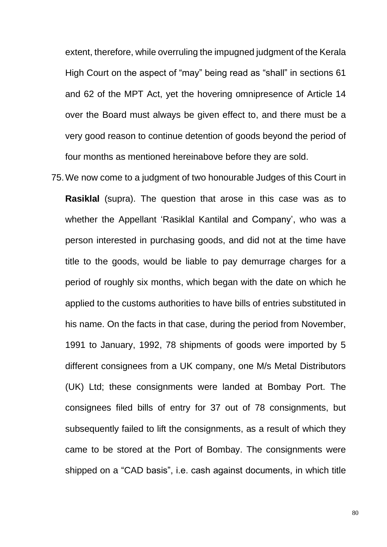extent, therefore, while overruling the impugned judgment of the Kerala High Court on the aspect of "may" being read as "shall" in sections 61 and 62 of the MPT Act, yet the hovering omnipresence of Article 14 over the Board must always be given effect to, and there must be a very good reason to continue detention of goods beyond the period of four months as mentioned hereinabove before they are sold.

75.We now come to a judgment of two honourable Judges of this Court in **Rasiklal** (supra). The question that arose in this case was as to whether the Appellant 'Rasiklal Kantilal and Company', who was a person interested in purchasing goods, and did not at the time have title to the goods, would be liable to pay demurrage charges for a period of roughly six months, which began with the date on which he applied to the customs authorities to have bills of entries substituted in his name. On the facts in that case, during the period from November, 1991 to January, 1992, 78 shipments of goods were imported by 5 different consignees from a UK company, one M/s Metal Distributors (UK) Ltd; these consignments were landed at Bombay Port. The consignees filed bills of entry for 37 out of 78 consignments, but subsequently failed to lift the consignments, as a result of which they came to be stored at the Port of Bombay. The consignments were shipped on a "CAD basis", i.e. cash against documents, in which title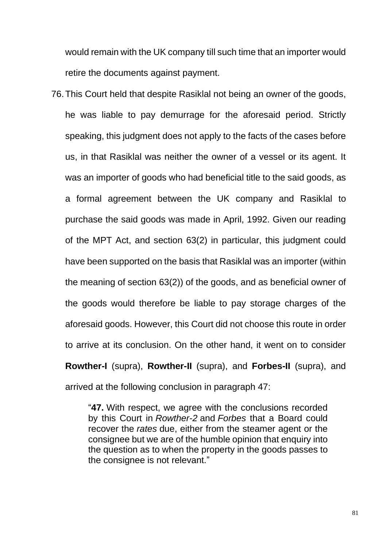would remain with the UK company till such time that an importer would retire the documents against payment.

76.This Court held that despite Rasiklal not being an owner of the goods, he was liable to pay demurrage for the aforesaid period. Strictly speaking, this judgment does not apply to the facts of the cases before us, in that Rasiklal was neither the owner of a vessel or its agent. It was an importer of goods who had beneficial title to the said goods, as a formal agreement between the UK company and Rasiklal to purchase the said goods was made in April, 1992. Given our reading of the MPT Act, and section 63(2) in particular, this judgment could have been supported on the basis that Rasiklal was an importer (within the meaning of section 63(2)) of the goods, and as beneficial owner of the goods would therefore be liable to pay storage charges of the aforesaid goods. However, this Court did not choose this route in order to arrive at its conclusion. On the other hand, it went on to consider **Rowther-I** (supra), **Rowther-II** (supra), and **Forbes-II** (supra), and arrived at the following conclusion in paragraph 47:

> "**47.** With respect, we agree with the conclusions recorded by this Court in *Rowther-2* and *Forbes* that a Board could recover the *rates* due, either from the steamer agent or the consignee but we are of the humble opinion that enquiry into the question as to when the property in the goods passes to the consignee is not relevant."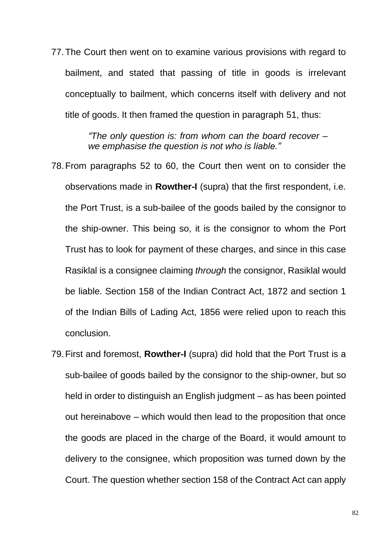77.The Court then went on to examine various provisions with regard to bailment, and stated that passing of title in goods is irrelevant conceptually to bailment, which concerns itself with delivery and not title of goods. It then framed the question in paragraph 51, thus:

> *"The only question is: from whom can the board recover – we emphasise the question is not who is liable."*

- 78.From paragraphs 52 to 60, the Court then went on to consider the observations made in **Rowther-I** (supra) that the first respondent, i.e. the Port Trust, is a sub-bailee of the goods bailed by the consignor to the ship-owner. This being so, it is the consignor to whom the Port Trust has to look for payment of these charges, and since in this case Rasiklal is a consignee claiming *through* the consignor, Rasiklal would be liable. Section 158 of the Indian Contract Act, 1872 and section 1 of the Indian Bills of Lading Act, 1856 were relied upon to reach this conclusion.
- 79.First and foremost, **Rowther-I** (supra) did hold that the Port Trust is a sub-bailee of goods bailed by the consignor to the ship-owner, but so held in order to distinguish an English judgment – as has been pointed out hereinabove – which would then lead to the proposition that once the goods are placed in the charge of the Board, it would amount to delivery to the consignee, which proposition was turned down by the Court. The question whether section 158 of the Contract Act can apply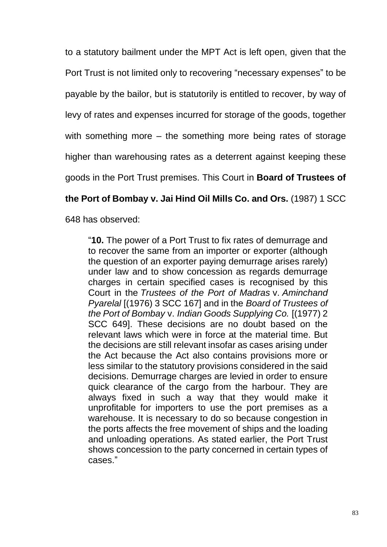to a statutory bailment under the MPT Act is left open, given that the Port Trust is not limited only to recovering "necessary expenses" to be payable by the bailor, but is statutorily is entitled to recover, by way of levy of rates and expenses incurred for storage of the goods, together with something more – the something more being rates of storage higher than warehousing rates as a deterrent against keeping these goods in the Port Trust premises. This Court in **Board of Trustees of** 

## **the Port of Bombay v. Jai Hind Oil Mills Co. and Ors.** (1987) 1 SCC

648 has observed:

"**10.** The power of a Port Trust to fix rates of demurrage and to recover the same from an importer or exporter (although the question of an exporter paying demurrage arises rarely) under law and to show concession as regards demurrage charges in certain specified cases is recognised by this Court in the *Trustees of the Port of Madras* v. *Aminchand Pyarelal* [(1976) 3 SCC 167] and in the *Board of Trustees of the Port of Bombay* v. *Indian Goods Supplying Co.* [(1977) 2 SCC 649]. These decisions are no doubt based on the relevant laws which were in force at the material time. But the decisions are still relevant insofar as cases arising under the Act because the Act also contains provisions more or less similar to the statutory provisions considered in the said decisions. Demurrage charges are levied in order to ensure quick clearance of the cargo from the harbour. They are always fixed in such a way that they would make it unprofitable for importers to use the port premises as a warehouse. It is necessary to do so because congestion in the ports affects the free movement of ships and the loading and unloading operations. As stated earlier, the Port Trust shows concession to the party concerned in certain types of cases."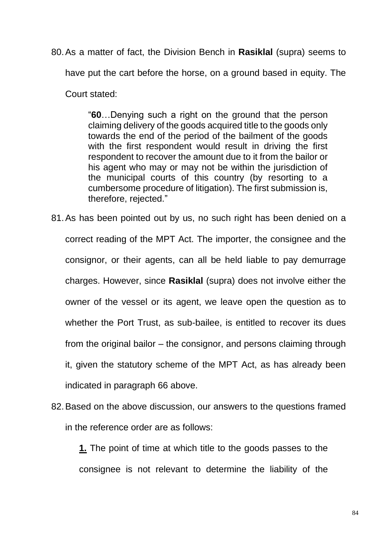80.As a matter of fact, the Division Bench in **Rasiklal** (supra) seems to

have put the cart before the horse, on a ground based in equity. The

Court stated:

"**60**…Denying such a right on the ground that the person claiming delivery of the goods acquired title to the goods only towards the end of the period of the bailment of the goods with the first respondent would result in driving the first respondent to recover the amount due to it from the bailor or his agent who may or may not be within the jurisdiction of the municipal courts of this country (by resorting to a cumbersome procedure of litigation). The first submission is, therefore, rejected."

- 81.As has been pointed out by us, no such right has been denied on a correct reading of the MPT Act. The importer, the consignee and the consignor, or their agents, can all be held liable to pay demurrage charges. However, since **Rasiklal** (supra) does not involve either the owner of the vessel or its agent, we leave open the question as to whether the Port Trust, as sub-bailee, is entitled to recover its dues from the original bailor – the consignor, and persons claiming through it, given the statutory scheme of the MPT Act, as has already been indicated in paragraph 66 above.
- 82.Based on the above discussion, our answers to the questions framed in the reference order are as follows:

**1.** The point of time at which title to the goods passes to the consignee is not relevant to determine the liability of the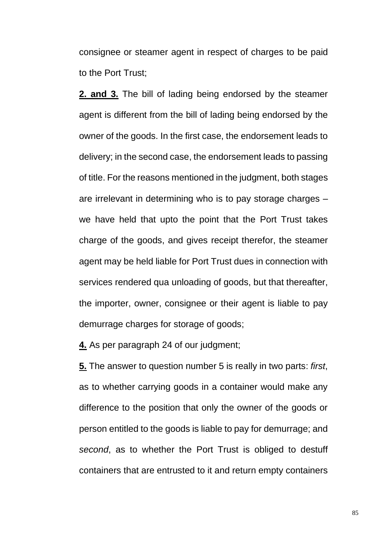consignee or steamer agent in respect of charges to be paid to the Port Trust;

**2. and 3.** The bill of lading being endorsed by the steamer agent is different from the bill of lading being endorsed by the owner of the goods. In the first case, the endorsement leads to delivery; in the second case, the endorsement leads to passing of title. For the reasons mentioned in the judgment, both stages are irrelevant in determining who is to pay storage charges – we have held that upto the point that the Port Trust takes charge of the goods, and gives receipt therefor, the steamer agent may be held liable for Port Trust dues in connection with services rendered qua unloading of goods, but that thereafter, the importer, owner, consignee or their agent is liable to pay demurrage charges for storage of goods;

**4.** As per paragraph 24 of our judgment;

**5.** The answer to question number 5 is really in two parts: *first*, as to whether carrying goods in a container would make any difference to the position that only the owner of the goods or person entitled to the goods is liable to pay for demurrage; and *second*, as to whether the Port Trust is obliged to destuff containers that are entrusted to it and return empty containers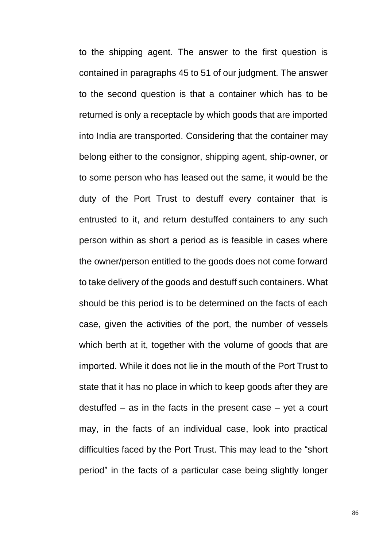to the shipping agent. The answer to the first question is contained in paragraphs 45 to 51 of our judgment. The answer to the second question is that a container which has to be returned is only a receptacle by which goods that are imported into India are transported. Considering that the container may belong either to the consignor, shipping agent, ship-owner, or to some person who has leased out the same, it would be the duty of the Port Trust to destuff every container that is entrusted to it, and return destuffed containers to any such person within as short a period as is feasible in cases where the owner/person entitled to the goods does not come forward to take delivery of the goods and destuff such containers. What should be this period is to be determined on the facts of each case, given the activities of the port, the number of vessels which berth at it, together with the volume of goods that are imported. While it does not lie in the mouth of the Port Trust to state that it has no place in which to keep goods after they are destuffed – as in the facts in the present case – yet a court may, in the facts of an individual case, look into practical difficulties faced by the Port Trust. This may lead to the "short period" in the facts of a particular case being slightly longer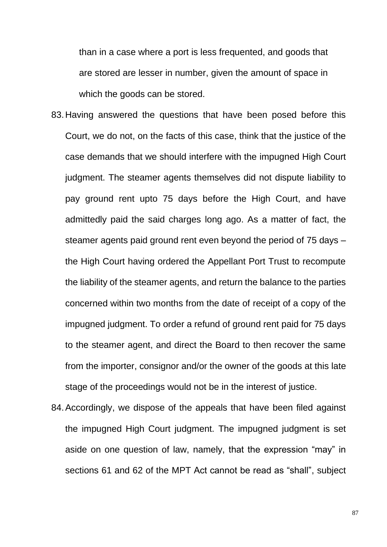than in a case where a port is less frequented, and goods that are stored are lesser in number, given the amount of space in which the goods can be stored.

- 83.Having answered the questions that have been posed before this Court, we do not, on the facts of this case, think that the justice of the case demands that we should interfere with the impugned High Court judgment. The steamer agents themselves did not dispute liability to pay ground rent upto 75 days before the High Court, and have admittedly paid the said charges long ago. As a matter of fact, the steamer agents paid ground rent even beyond the period of 75 days – the High Court having ordered the Appellant Port Trust to recompute the liability of the steamer agents, and return the balance to the parties concerned within two months from the date of receipt of a copy of the impugned judgment. To order a refund of ground rent paid for 75 days to the steamer agent, and direct the Board to then recover the same from the importer, consignor and/or the owner of the goods at this late stage of the proceedings would not be in the interest of justice.
- 84.Accordingly, we dispose of the appeals that have been filed against the impugned High Court judgment. The impugned judgment is set aside on one question of law, namely, that the expression "may" in sections 61 and 62 of the MPT Act cannot be read as "shall", subject